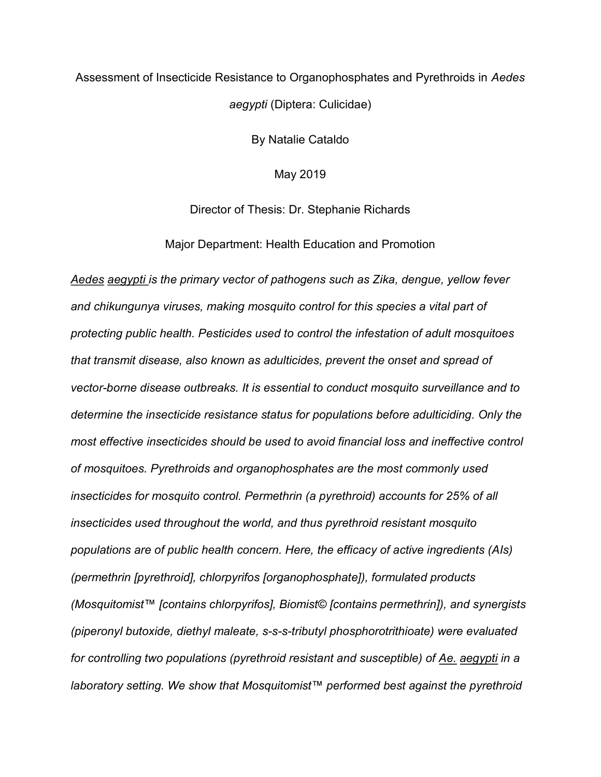# Assessment of Insecticide Resistance to Organophosphates and Pyrethroids in Aedes aegypti (Diptera: Culicidae)

By Natalie Cataldo

May 2019

Director of Thesis: Dr. Stephanie Richards

Major Department: Health Education and Promotion

Aedes aegypti is the primary vector of pathogens such as Zika, dengue, yellow fever and chikungunya viruses, making mosquito control for this species a vital part of protecting public health. Pesticides used to control the infestation of adult mosquitoes that transmit disease, also known as adulticides, prevent the onset and spread of vector-borne disease outbreaks. It is essential to conduct mosquito surveillance and to determine the insecticide resistance status for populations before adulticiding. Only the most effective insecticides should be used to avoid financial loss and ineffective control of mosquitoes. Pyrethroids and organophosphates are the most commonly used insecticides for mosquito control. Permethrin (a pyrethroid) accounts for 25% of all insecticides used throughout the world, and thus pyrethroid resistant mosquito populations are of public health concern. Here, the efficacy of active ingredients (AIs) (permethrin [pyrethroid], chlorpyrifos [organophosphate]), formulated products (Mosquitomist™ [contains chlorpyrifos], Biomist© [contains permethrin]), and synergists (piperonyl butoxide, diethyl maleate, s-s-s-tributyl phosphorotrithioate) were evaluated for controlling two populations (pyrethroid resistant and susceptible) of Ae. aegypti in a laboratory setting. We show that Mosquitomist™ performed best against the pyrethroid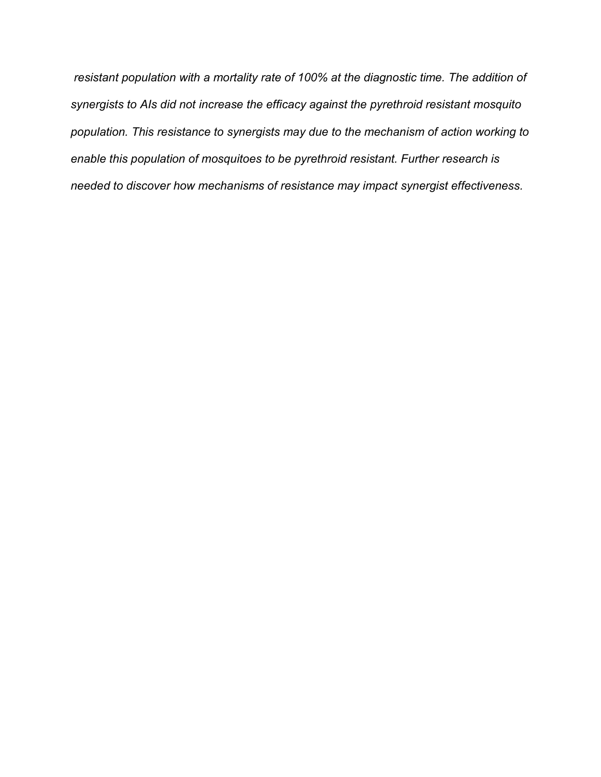resistant population with a mortality rate of 100% at the diagnostic time. The addition of synergists to AIs did not increase the efficacy against the pyrethroid resistant mosquito population. This resistance to synergists may due to the mechanism of action working to enable this population of mosquitoes to be pyrethroid resistant. Further research is needed to discover how mechanisms of resistance may impact synergist effectiveness.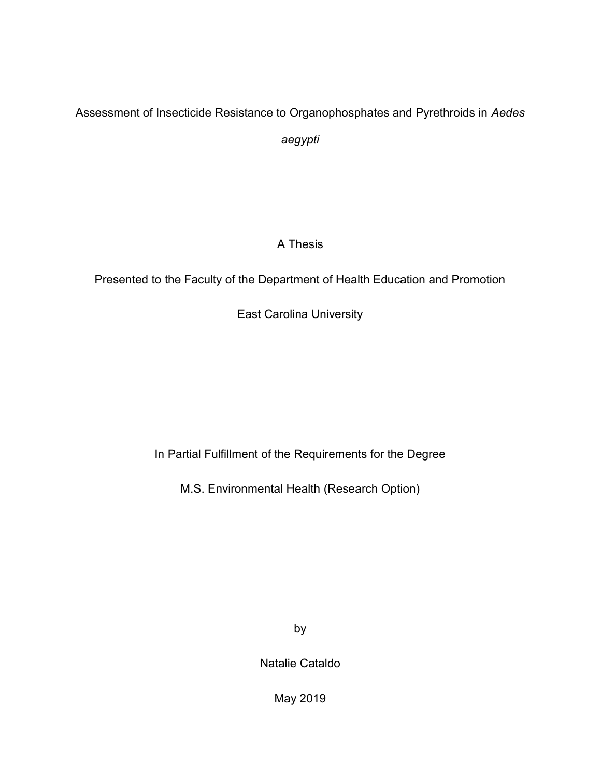# Assessment of Insecticide Resistance to Organophosphates and Pyrethroids in Aedes aegypti

# A Thesis

Presented to the Faculty of the Department of Health Education and Promotion

East Carolina University

In Partial Fulfillment of the Requirements for the Degree

M.S. Environmental Health (Research Option)

by

Natalie Cataldo

May 2019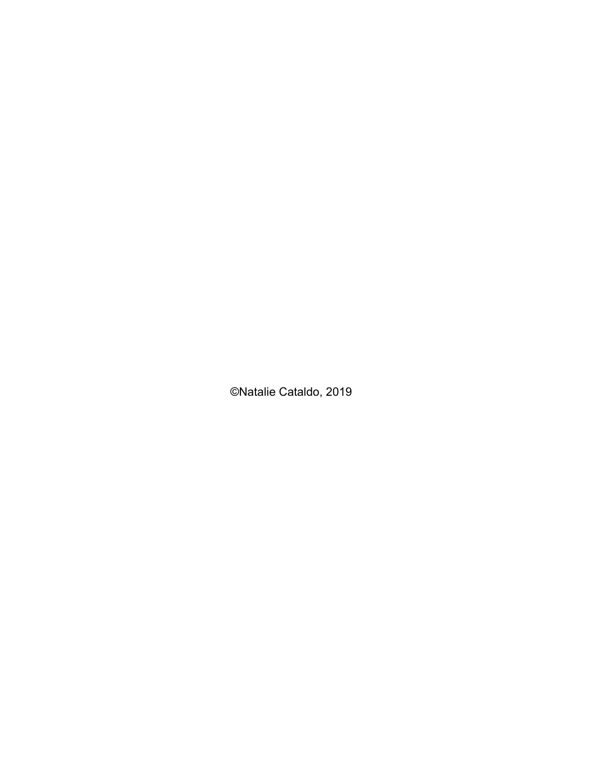©Natalie Cataldo, 2019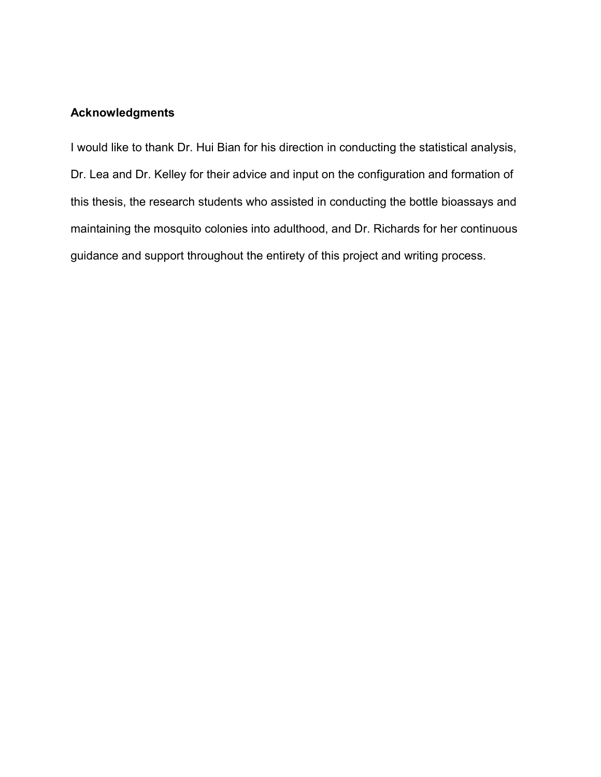### Acknowledgments

I would like to thank Dr. Hui Bian for his direction in conducting the statistical analysis, Dr. Lea and Dr. Kelley for their advice and input on the configuration and formation of this thesis, the research students who assisted in conducting the bottle bioassays and maintaining the mosquito colonies into adulthood, and Dr. Richards for her continuous guidance and support throughout the entirety of this project and writing process.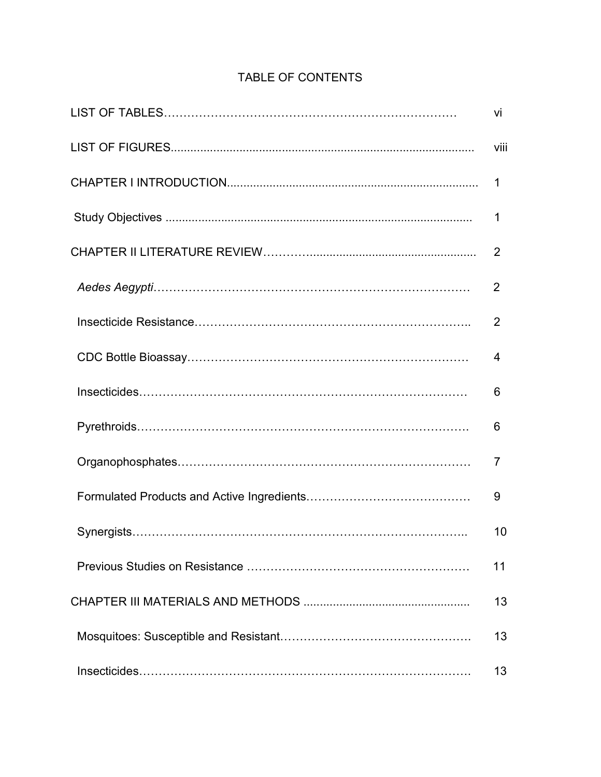| vi             |
|----------------|
| viii           |
| 1              |
| 1              |
| $\overline{2}$ |
| 2              |
| 2              |
| 4              |
| 6              |
| 6              |
| 7              |
| 9              |
| 10             |
| 11             |
| 13             |
| 13             |
| 13             |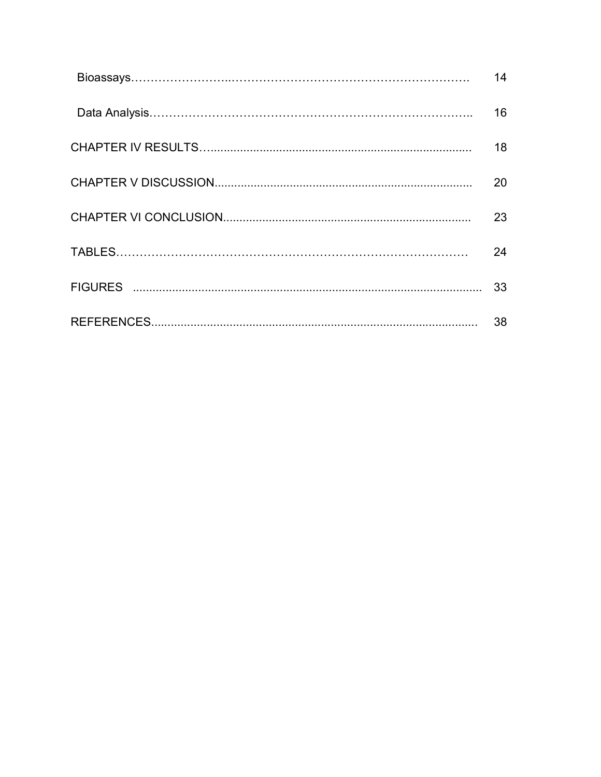| 14 |
|----|
| 16 |
| 18 |
| 20 |
| 23 |
| 24 |
| 33 |
| 38 |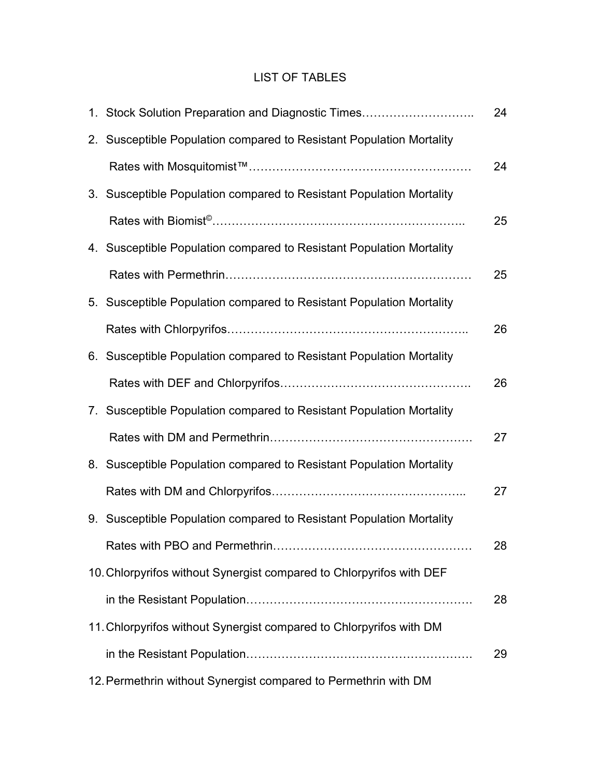# LIST OF TABLES

| 1. Stock Solution Preparation and Diagnostic Times                   | 24 |
|----------------------------------------------------------------------|----|
| 2. Susceptible Population compared to Resistant Population Mortality |    |
|                                                                      | 24 |
| 3. Susceptible Population compared to Resistant Population Mortality |    |
|                                                                      | 25 |
| 4. Susceptible Population compared to Resistant Population Mortality |    |
|                                                                      | 25 |
| 5. Susceptible Population compared to Resistant Population Mortality |    |
|                                                                      | 26 |
| 6. Susceptible Population compared to Resistant Population Mortality |    |
|                                                                      | 26 |
| 7. Susceptible Population compared to Resistant Population Mortality |    |
|                                                                      | 27 |
| 8. Susceptible Population compared to Resistant Population Mortality |    |
|                                                                      | 27 |
| 9. Susceptible Population compared to Resistant Population Mortality |    |
|                                                                      | 28 |
| 10. Chlorpyrifos without Synergist compared to Chlorpyrifos with DEF |    |
|                                                                      | 28 |
| 11. Chlorpyrifos without Synergist compared to Chlorpyrifos with DM  |    |
|                                                                      | 29 |
| 12. Permethrin without Synergist compared to Permethrin with DM      |    |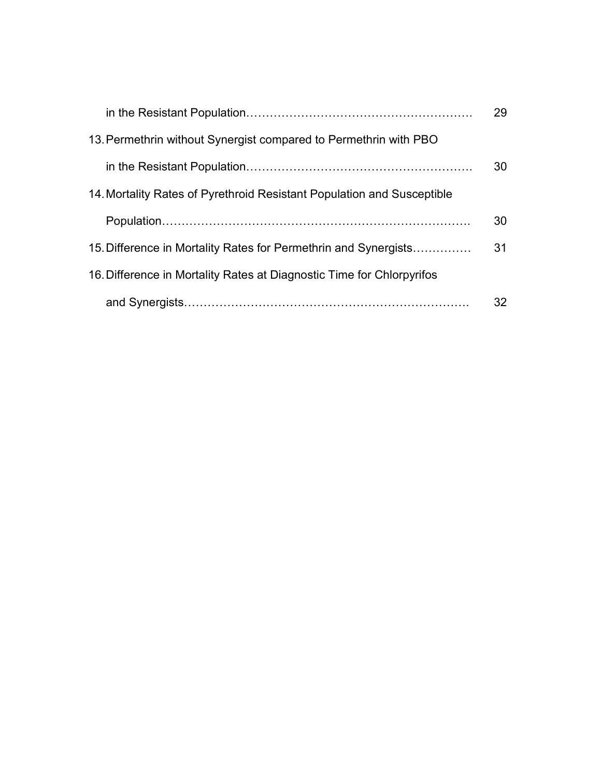|                                                                        | 29 |
|------------------------------------------------------------------------|----|
| 13. Permethrin without Synergist compared to Permethrin with PBO       |    |
|                                                                        | 30 |
| 14. Mortality Rates of Pyrethroid Resistant Population and Susceptible |    |
|                                                                        | 30 |
| 15. Difference in Mortality Rates for Permethrin and Synergists        | 31 |
| 16. Difference in Mortality Rates at Diagnostic Time for Chlorpyrifos  |    |
|                                                                        | 32 |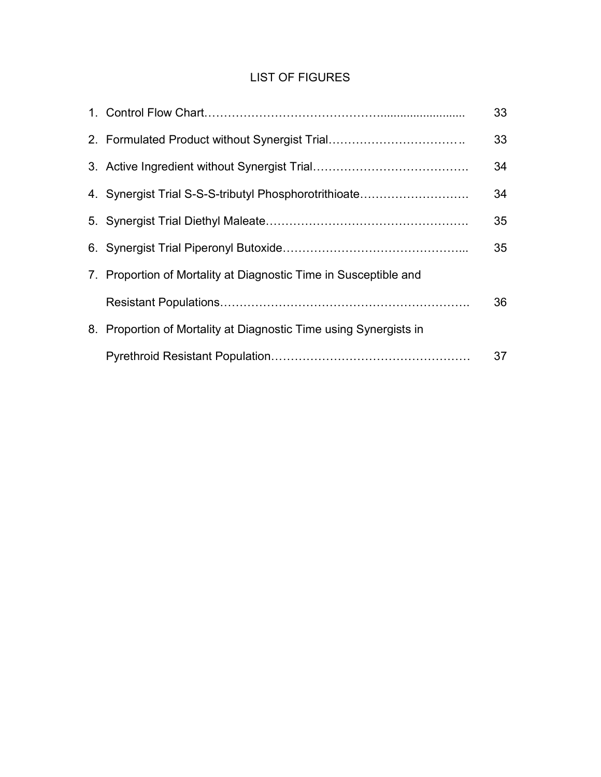# LIST OF FIGURES

|                                                                   | 33 |
|-------------------------------------------------------------------|----|
| 2. Formulated Product without Synergist Trial                     | 33 |
|                                                                   | 34 |
| 4. Synergist Trial S-S-S-tributyl Phosphorotrithioate             | 34 |
|                                                                   | 35 |
|                                                                   | 35 |
| 7. Proportion of Mortality at Diagnostic Time in Susceptible and  |    |
|                                                                   | 36 |
| 8. Proportion of Mortality at Diagnostic Time using Synergists in |    |
|                                                                   | 37 |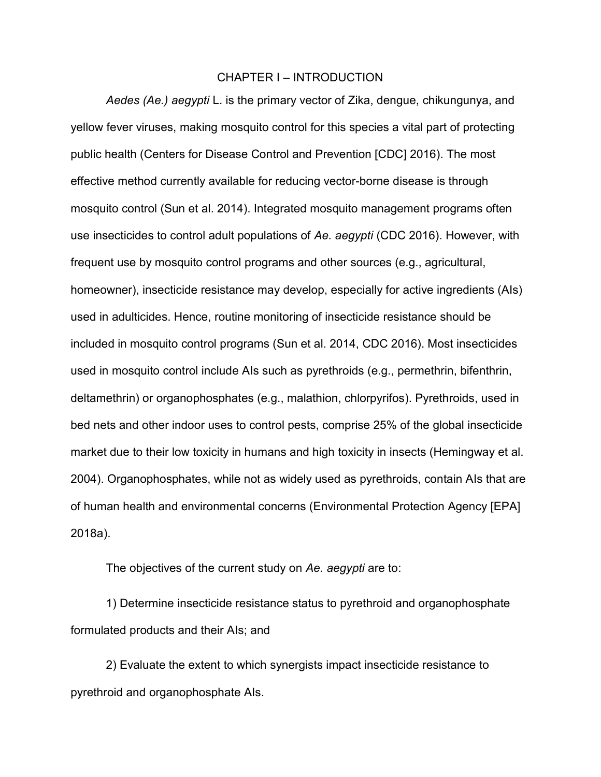#### CHAPTER I – INTRODUCTION

 Aedes (Ae.) aegypti L. is the primary vector of Zika, dengue, chikungunya, and yellow fever viruses, making mosquito control for this species a vital part of protecting public health (Centers for Disease Control and Prevention [CDC] 2016). The most effective method currently available for reducing vector-borne disease is through mosquito control (Sun et al. 2014). Integrated mosquito management programs often use insecticides to control adult populations of Ae. aegypti (CDC 2016). However, with frequent use by mosquito control programs and other sources (e.g., agricultural, homeowner), insecticide resistance may develop, especially for active ingredients (AIs) used in adulticides. Hence, routine monitoring of insecticide resistance should be included in mosquito control programs (Sun et al. 2014, CDC 2016). Most insecticides used in mosquito control include AIs such as pyrethroids (e.g., permethrin, bifenthrin, deltamethrin) or organophosphates (e.g., malathion, chlorpyrifos). Pyrethroids, used in bed nets and other indoor uses to control pests, comprise 25% of the global insecticide market due to their low toxicity in humans and high toxicity in insects (Hemingway et al. 2004). Organophosphates, while not as widely used as pyrethroids, contain AIs that are of human health and environmental concerns (Environmental Protection Agency [EPA] 2018a).

The objectives of the current study on Ae. aegypti are to:

 1) Determine insecticide resistance status to pyrethroid and organophosphate formulated products and their AIs; and

 2) Evaluate the extent to which synergists impact insecticide resistance to pyrethroid and organophosphate AIs.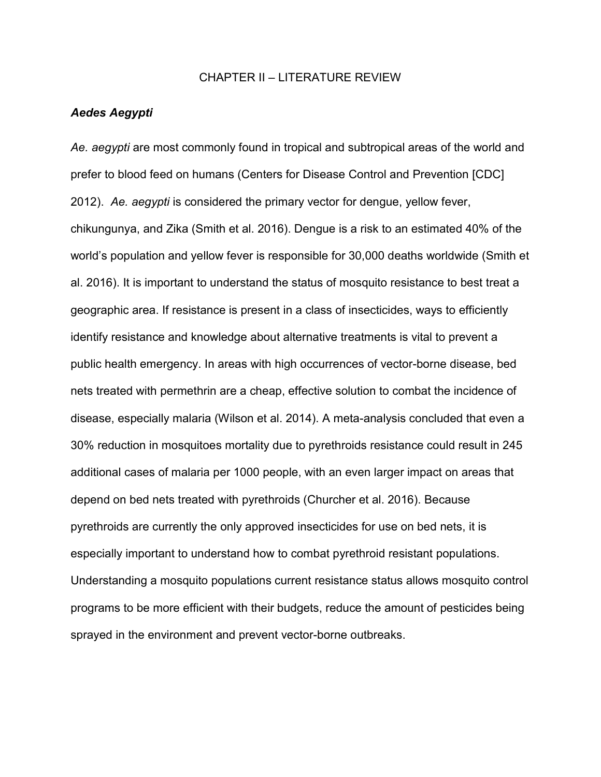#### CHAPTER II – LITERATURE REVIEW

#### Aedes Aegypti

Ae. aegypti are most commonly found in tropical and subtropical areas of the world and prefer to blood feed on humans (Centers for Disease Control and Prevention [CDC] 2012). Ae. aegypti is considered the primary vector for dengue, yellow fever, chikungunya, and Zika (Smith et al. 2016). Dengue is a risk to an estimated 40% of the world's population and yellow fever is responsible for 30,000 deaths worldwide (Smith et al. 2016). It is important to understand the status of mosquito resistance to best treat a geographic area. If resistance is present in a class of insecticides, ways to efficiently identify resistance and knowledge about alternative treatments is vital to prevent a public health emergency. In areas with high occurrences of vector-borne disease, bed nets treated with permethrin are a cheap, effective solution to combat the incidence of disease, especially malaria (Wilson et al. 2014). A meta-analysis concluded that even a 30% reduction in mosquitoes mortality due to pyrethroids resistance could result in 245 additional cases of malaria per 1000 people, with an even larger impact on areas that depend on bed nets treated with pyrethroids (Churcher et al. 2016). Because pyrethroids are currently the only approved insecticides for use on bed nets, it is especially important to understand how to combat pyrethroid resistant populations. Understanding a mosquito populations current resistance status allows mosquito control programs to be more efficient with their budgets, reduce the amount of pesticides being sprayed in the environment and prevent vector-borne outbreaks.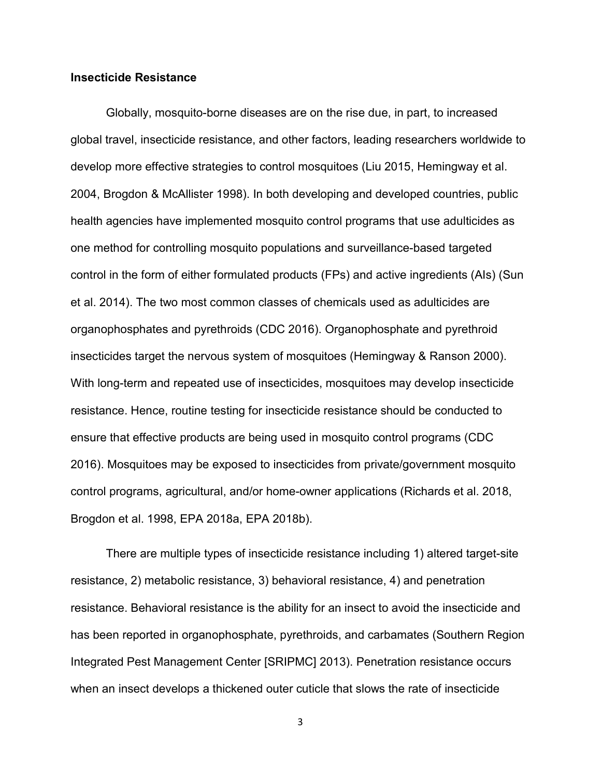#### Insecticide Resistance

 Globally, mosquito-borne diseases are on the rise due, in part, to increased global travel, insecticide resistance, and other factors, leading researchers worldwide to develop more effective strategies to control mosquitoes (Liu 2015, Hemingway et al. 2004, Brogdon & McAllister 1998). In both developing and developed countries, public health agencies have implemented mosquito control programs that use adulticides as one method for controlling mosquito populations and surveillance-based targeted control in the form of either formulated products (FPs) and active ingredients (AIs) (Sun et al. 2014). The two most common classes of chemicals used as adulticides are organophosphates and pyrethroids (CDC 2016). Organophosphate and pyrethroid insecticides target the nervous system of mosquitoes (Hemingway & Ranson 2000). With long-term and repeated use of insecticides, mosquitoes may develop insecticide resistance. Hence, routine testing for insecticide resistance should be conducted to ensure that effective products are being used in mosquito control programs (CDC 2016). Mosquitoes may be exposed to insecticides from private/government mosquito control programs, agricultural, and/or home-owner applications (Richards et al. 2018, Brogdon et al. 1998, EPA 2018a, EPA 2018b).

There are multiple types of insecticide resistance including 1) altered target-site resistance, 2) metabolic resistance, 3) behavioral resistance, 4) and penetration resistance. Behavioral resistance is the ability for an insect to avoid the insecticide and has been reported in organophosphate, pyrethroids, and carbamates (Southern Region Integrated Pest Management Center [SRIPMC] 2013). Penetration resistance occurs when an insect develops a thickened outer cuticle that slows the rate of insecticide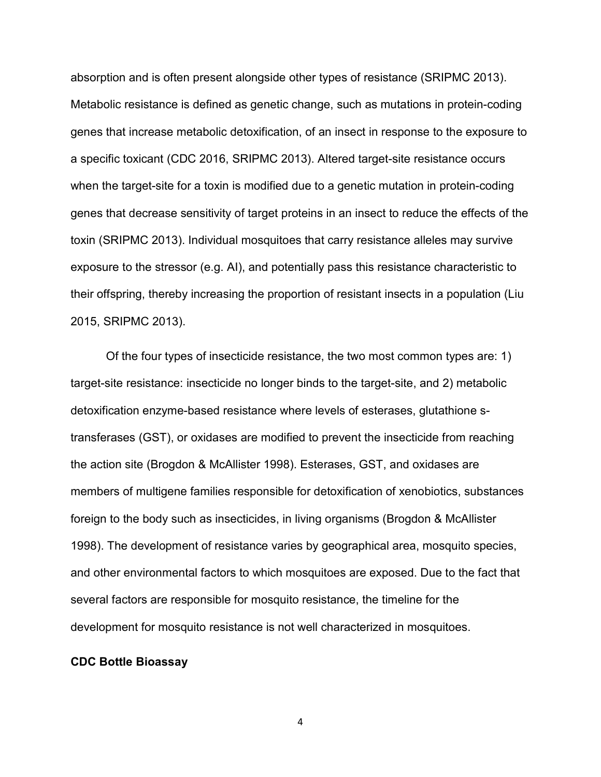absorption and is often present alongside other types of resistance (SRIPMC 2013). Metabolic resistance is defined as genetic change, such as mutations in protein-coding genes that increase metabolic detoxification, of an insect in response to the exposure to a specific toxicant (CDC 2016, SRIPMC 2013). Altered target-site resistance occurs when the target-site for a toxin is modified due to a genetic mutation in protein-coding genes that decrease sensitivity of target proteins in an insect to reduce the effects of the toxin (SRIPMC 2013). Individual mosquitoes that carry resistance alleles may survive exposure to the stressor (e.g. AI), and potentially pass this resistance characteristic to their offspring, thereby increasing the proportion of resistant insects in a population (Liu 2015, SRIPMC 2013).

 Of the four types of insecticide resistance, the two most common types are: 1) target-site resistance: insecticide no longer binds to the target-site, and 2) metabolic detoxification enzyme-based resistance where levels of esterases, glutathione stransferases (GST), or oxidases are modified to prevent the insecticide from reaching the action site (Brogdon & McAllister 1998). Esterases, GST, and oxidases are members of multigene families responsible for detoxification of xenobiotics, substances foreign to the body such as insecticides, in living organisms (Brogdon & McAllister 1998). The development of resistance varies by geographical area, mosquito species, and other environmental factors to which mosquitoes are exposed. Due to the fact that several factors are responsible for mosquito resistance, the timeline for the development for mosquito resistance is not well characterized in mosquitoes.

#### CDC Bottle Bioassay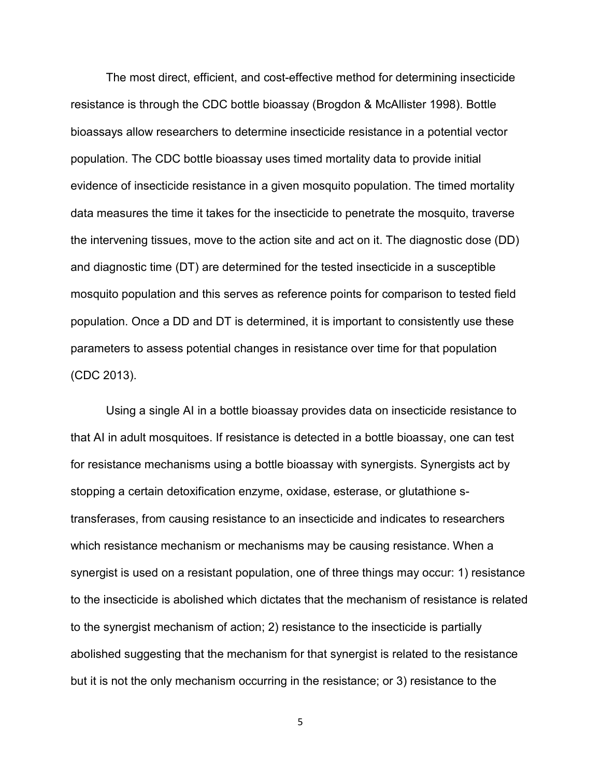The most direct, efficient, and cost-effective method for determining insecticide resistance is through the CDC bottle bioassay (Brogdon & McAllister 1998). Bottle bioassays allow researchers to determine insecticide resistance in a potential vector population. The CDC bottle bioassay uses timed mortality data to provide initial evidence of insecticide resistance in a given mosquito population. The timed mortality data measures the time it takes for the insecticide to penetrate the mosquito, traverse the intervening tissues, move to the action site and act on it. The diagnostic dose (DD) and diagnostic time (DT) are determined for the tested insecticide in a susceptible mosquito population and this serves as reference points for comparison to tested field population. Once a DD and DT is determined, it is important to consistently use these parameters to assess potential changes in resistance over time for that population (CDC 2013).

 Using a single AI in a bottle bioassay provides data on insecticide resistance to that AI in adult mosquitoes. If resistance is detected in a bottle bioassay, one can test for resistance mechanisms using a bottle bioassay with synergists. Synergists act by stopping a certain detoxification enzyme, oxidase, esterase, or glutathione stransferases, from causing resistance to an insecticide and indicates to researchers which resistance mechanism or mechanisms may be causing resistance. When a synergist is used on a resistant population, one of three things may occur: 1) resistance to the insecticide is abolished which dictates that the mechanism of resistance is related to the synergist mechanism of action; 2) resistance to the insecticide is partially abolished suggesting that the mechanism for that synergist is related to the resistance but it is not the only mechanism occurring in the resistance; or 3) resistance to the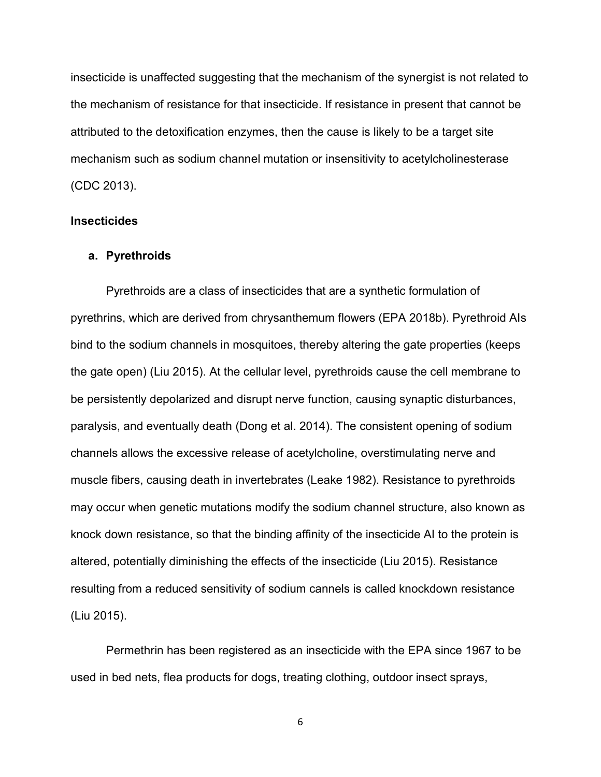insecticide is unaffected suggesting that the mechanism of the synergist is not related to the mechanism of resistance for that insecticide. If resistance in present that cannot be attributed to the detoxification enzymes, then the cause is likely to be a target site mechanism such as sodium channel mutation or insensitivity to acetylcholinesterase (CDC 2013).

#### **Insecticides**

#### a. Pyrethroids

 Pyrethroids are a class of insecticides that are a synthetic formulation of pyrethrins, which are derived from chrysanthemum flowers (EPA 2018b). Pyrethroid AIs bind to the sodium channels in mosquitoes, thereby altering the gate properties (keeps the gate open) (Liu 2015). At the cellular level, pyrethroids cause the cell membrane to be persistently depolarized and disrupt nerve function, causing synaptic disturbances, paralysis, and eventually death (Dong et al. 2014). The consistent opening of sodium channels allows the excessive release of acetylcholine, overstimulating nerve and muscle fibers, causing death in invertebrates (Leake 1982). Resistance to pyrethroids may occur when genetic mutations modify the sodium channel structure, also known as knock down resistance, so that the binding affinity of the insecticide AI to the protein is altered, potentially diminishing the effects of the insecticide (Liu 2015). Resistance resulting from a reduced sensitivity of sodium cannels is called knockdown resistance (Liu 2015).

 Permethrin has been registered as an insecticide with the EPA since 1967 to be used in bed nets, flea products for dogs, treating clothing, outdoor insect sprays,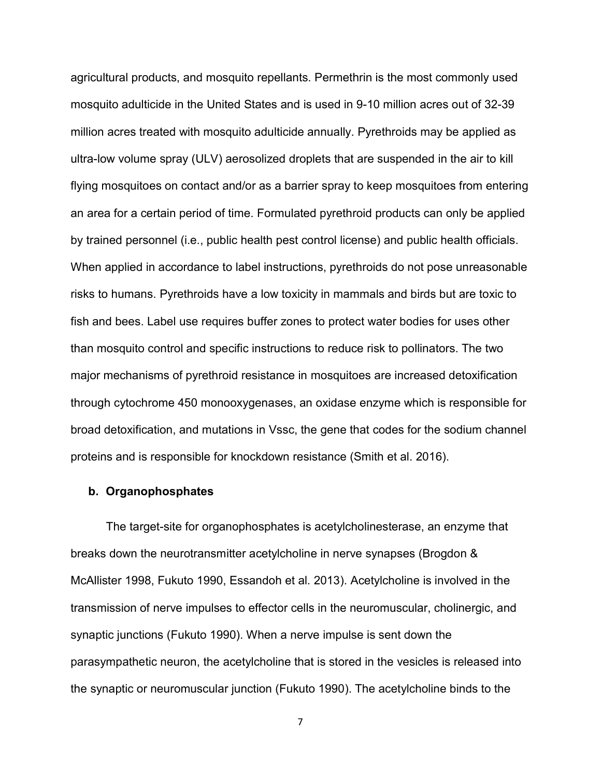agricultural products, and mosquito repellants. Permethrin is the most commonly used mosquito adulticide in the United States and is used in 9-10 million acres out of 32-39 million acres treated with mosquito adulticide annually. Pyrethroids may be applied as ultra-low volume spray (ULV) aerosolized droplets that are suspended in the air to kill flying mosquitoes on contact and/or as a barrier spray to keep mosquitoes from entering an area for a certain period of time. Formulated pyrethroid products can only be applied by trained personnel (i.e., public health pest control license) and public health officials. When applied in accordance to label instructions, pyrethroids do not pose unreasonable risks to humans. Pyrethroids have a low toxicity in mammals and birds but are toxic to fish and bees. Label use requires buffer zones to protect water bodies for uses other than mosquito control and specific instructions to reduce risk to pollinators. The two major mechanisms of pyrethroid resistance in mosquitoes are increased detoxification through cytochrome 450 monooxygenases, an oxidase enzyme which is responsible for broad detoxification, and mutations in Vssc, the gene that codes for the sodium channel proteins and is responsible for knockdown resistance (Smith et al. 2016).

#### b. Organophosphates

 The target-site for organophosphates is acetylcholinesterase, an enzyme that breaks down the neurotransmitter acetylcholine in nerve synapses (Brogdon & McAllister 1998, Fukuto 1990, Essandoh et al. 2013). Acetylcholine is involved in the transmission of nerve impulses to effector cells in the neuromuscular, cholinergic, and synaptic junctions (Fukuto 1990). When a nerve impulse is sent down the parasympathetic neuron, the acetylcholine that is stored in the vesicles is released into the synaptic or neuromuscular junction (Fukuto 1990). The acetylcholine binds to the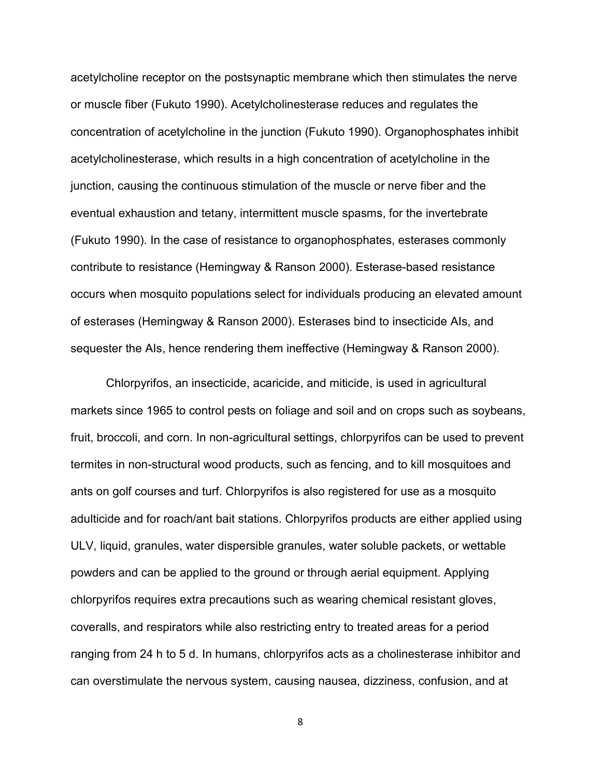acetylcholine receptor on the postsynaptic membrane which then stimulates the nerve or muscle fiber (Fukuto 1990). Acetylcholinesterase reduces and regulates the concentration of acetylcholine in the junction (Fukuto 1990). Organophosphates inhibit acetylcholinesterase, which results in a high concentration of acetylcholine in the junction, causing the continuous stimulation of the muscle or nerve fiber and the eventual exhaustion and tetany, intermittent muscle spasms, for the invertebrate (Fukuto 1990). In the case of resistance to organophosphates, esterases commonly contribute to resistance (Hemingway & Ranson 2000). Esterase-based resistance occurs when mosquito populations select for individuals producing an elevated amount of esterases (Hemingway & Ranson 2000). Esterases bind to insecticide AIs, and sequester the AIs, hence rendering them ineffective (Hemingway & Ranson 2000).

 Chlorpyrifos, an insecticide, acaricide, and miticide, is used in agricultural markets since 1965 to control pests on foliage and soil and on crops such as soybeans, fruit, broccoli, and corn. In non-agricultural settings, chlorpyrifos can be used to prevent termites in non-structural wood products, such as fencing, and to kill mosquitoes and ants on golf courses and turf. Chlorpyrifos is also registered for use as a mosquito adulticide and for roach/ant bait stations. Chlorpyrifos products are either applied using ULV, liquid, granules, water dispersible granules, water soluble packets, or wettable powders and can be applied to the ground or through aerial equipment. Applying chlorpyrifos requires extra precautions such as wearing chemical resistant gloves, coveralls, and respirators while also restricting entry to treated areas for a period ranging from 24 h to 5 d. In humans, chlorpyrifos acts as a cholinesterase inhibitor and can overstimulate the nervous system, causing nausea, dizziness, confusion, and at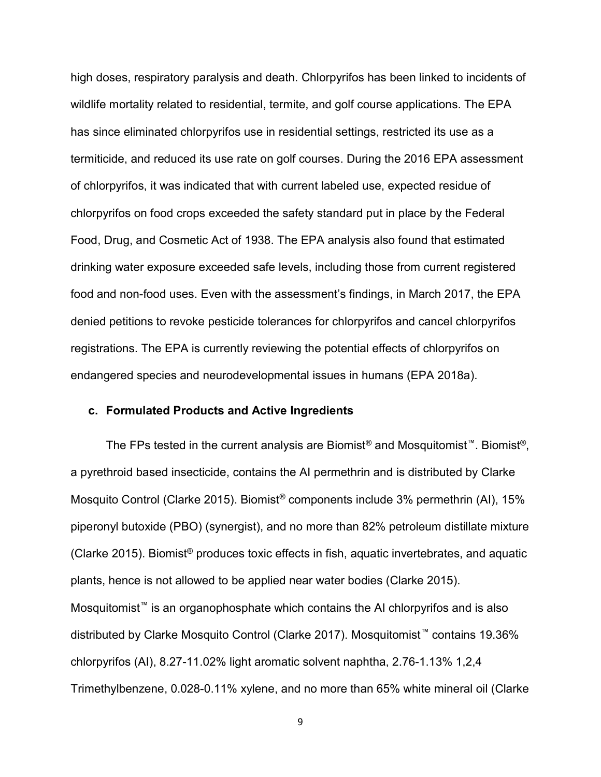high doses, respiratory paralysis and death. Chlorpyrifos has been linked to incidents of wildlife mortality related to residential, termite, and golf course applications. The EPA has since eliminated chlorpyrifos use in residential settings, restricted its use as a termiticide, and reduced its use rate on golf courses. During the 2016 EPA assessment of chlorpyrifos, it was indicated that with current labeled use, expected residue of chlorpyrifos on food crops exceeded the safety standard put in place by the Federal Food, Drug, and Cosmetic Act of 1938. The EPA analysis also found that estimated drinking water exposure exceeded safe levels, including those from current registered food and non-food uses. Even with the assessment's findings, in March 2017, the EPA denied petitions to revoke pesticide tolerances for chlorpyrifos and cancel chlorpyrifos registrations. The EPA is currently reviewing the potential effects of chlorpyrifos on endangered species and neurodevelopmental issues in humans (EPA 2018a).

#### c. Formulated Products and Active Ingredients

 The FPs tested in the current analysis are Biomist® and Mosquitomist™. Biomist®, a pyrethroid based insecticide, contains the AI permethrin and is distributed by Clarke Mosquito Control (Clarke 2015). Biomist® components include 3% permethrin (AI), 15% piperonyl butoxide (PBO) (synergist), and no more than 82% petroleum distillate mixture (Clarke 2015). Biomist® produces toxic effects in fish, aquatic invertebrates, and aquatic plants, hence is not allowed to be applied near water bodies (Clarke 2015). Mosquitomist<sup>™</sup> is an organophosphate which contains the AI chlorpyrifos and is also distributed by Clarke Mosquito Control (Clarke 2017). Mosquitomist™ contains 19.36% chlorpyrifos (AI), 8.27-11.02% light aromatic solvent naphtha, 2.76-1.13% 1,2,4 Trimethylbenzene, 0.028-0.11% xylene, and no more than 65% white mineral oil (Clarke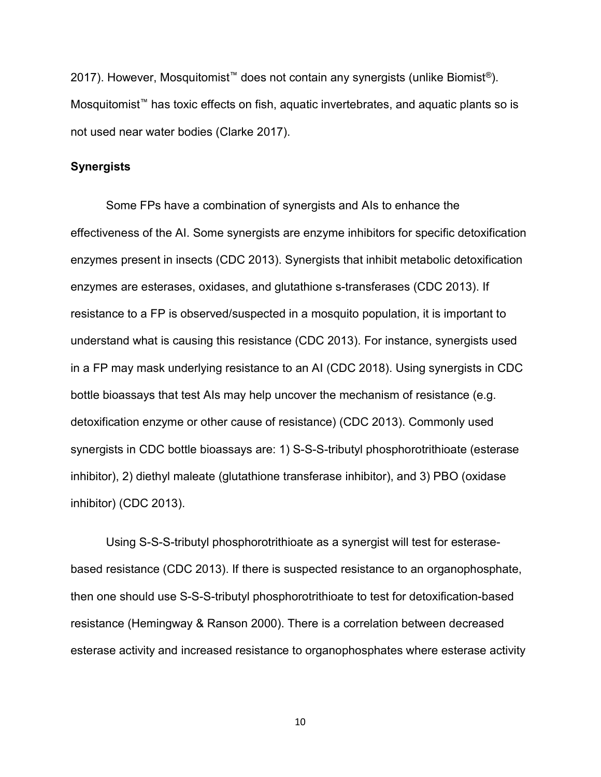2017). However, Mosquitomist<sup>™</sup> does not contain any synergists (unlike Biomist<sup>®</sup>). Mosquitomist™ has toxic effects on fish, aquatic invertebrates, and aquatic plants so is not used near water bodies (Clarke 2017).

#### **Synergists**

 Some FPs have a combination of synergists and AIs to enhance the effectiveness of the AI. Some synergists are enzyme inhibitors for specific detoxification enzymes present in insects (CDC 2013). Synergists that inhibit metabolic detoxification enzymes are esterases, oxidases, and glutathione s-transferases (CDC 2013). If resistance to a FP is observed/suspected in a mosquito population, it is important to understand what is causing this resistance (CDC 2013). For instance, synergists used in a FP may mask underlying resistance to an AI (CDC 2018). Using synergists in CDC bottle bioassays that test AIs may help uncover the mechanism of resistance (e.g. detoxification enzyme or other cause of resistance) (CDC 2013). Commonly used synergists in CDC bottle bioassays are: 1) S-S-S-tributyl phosphorotrithioate (esterase inhibitor), 2) diethyl maleate (glutathione transferase inhibitor), and 3) PBO (oxidase inhibitor) (CDC 2013).

 Using S-S-S-tributyl phosphorotrithioate as a synergist will test for esterasebased resistance (CDC 2013). If there is suspected resistance to an organophosphate, then one should use S-S-S-tributyl phosphorotrithioate to test for detoxification-based resistance (Hemingway & Ranson 2000). There is a correlation between decreased esterase activity and increased resistance to organophosphates where esterase activity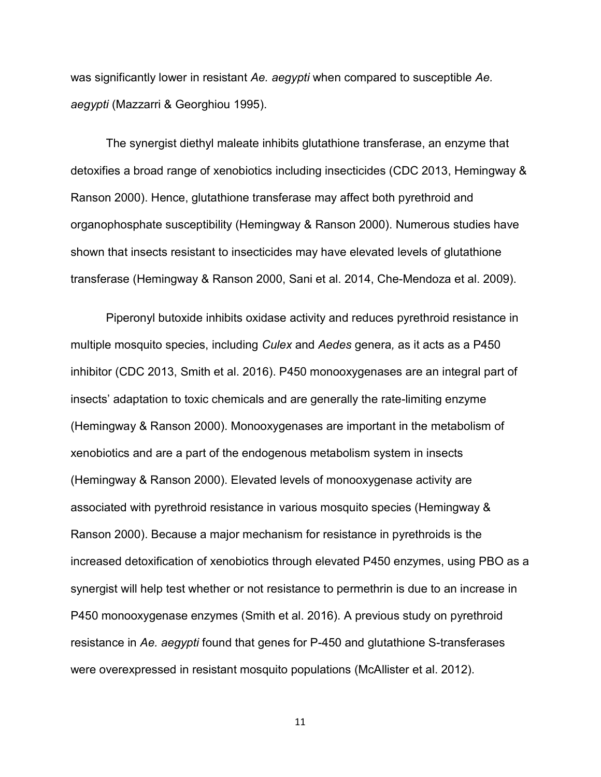was significantly lower in resistant Ae. aegypti when compared to susceptible Ae. aegypti (Mazzarri & Georghiou 1995).

 The synergist diethyl maleate inhibits glutathione transferase, an enzyme that detoxifies a broad range of xenobiotics including insecticides (CDC 2013, Hemingway & Ranson 2000). Hence, glutathione transferase may affect both pyrethroid and organophosphate susceptibility (Hemingway & Ranson 2000). Numerous studies have shown that insects resistant to insecticides may have elevated levels of glutathione transferase (Hemingway & Ranson 2000, Sani et al. 2014, Che-Mendoza et al. 2009).

 Piperonyl butoxide inhibits oxidase activity and reduces pyrethroid resistance in multiple mosquito species, including *Culex* and Aedes genera, as it acts as a P450 inhibitor (CDC 2013, Smith et al. 2016). P450 monooxygenases are an integral part of insects' adaptation to toxic chemicals and are generally the rate-limiting enzyme (Hemingway & Ranson 2000). Monooxygenases are important in the metabolism of xenobiotics and are a part of the endogenous metabolism system in insects (Hemingway & Ranson 2000). Elevated levels of monooxygenase activity are associated with pyrethroid resistance in various mosquito species (Hemingway & Ranson 2000). Because a major mechanism for resistance in pyrethroids is the increased detoxification of xenobiotics through elevated P450 enzymes, using PBO as a synergist will help test whether or not resistance to permethrin is due to an increase in P450 monooxygenase enzymes (Smith et al. 2016). A previous study on pyrethroid resistance in Ae. aegypti found that genes for P-450 and glutathione S-transferases were overexpressed in resistant mosquito populations (McAllister et al. 2012).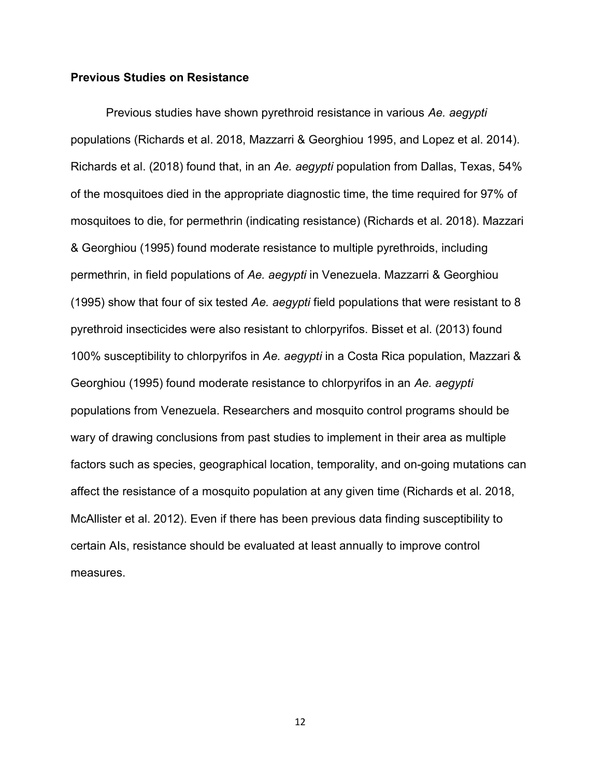#### Previous Studies on Resistance

Previous studies have shown pyrethroid resistance in various Ae. aegypti populations (Richards et al. 2018, Mazzarri & Georghiou 1995, and Lopez et al. 2014). Richards et al. (2018) found that, in an Ae. aegypti population from Dallas, Texas, 54% of the mosquitoes died in the appropriate diagnostic time, the time required for 97% of mosquitoes to die, for permethrin (indicating resistance) (Richards et al. 2018). Mazzari & Georghiou (1995) found moderate resistance to multiple pyrethroids, including permethrin, in field populations of Ae. aegypti in Venezuela. Mazzarri & Georghiou (1995) show that four of six tested Ae. aegypti field populations that were resistant to 8 pyrethroid insecticides were also resistant to chlorpyrifos. Bisset et al. (2013) found 100% susceptibility to chlorpyrifos in Ae. aegypti in a Costa Rica population, Mazzari & Georghiou (1995) found moderate resistance to chlorpyrifos in an Ae. aegypti populations from Venezuela. Researchers and mosquito control programs should be wary of drawing conclusions from past studies to implement in their area as multiple factors such as species, geographical location, temporality, and on-going mutations can affect the resistance of a mosquito population at any given time (Richards et al. 2018, McAllister et al. 2012). Even if there has been previous data finding susceptibility to certain AIs, resistance should be evaluated at least annually to improve control measures.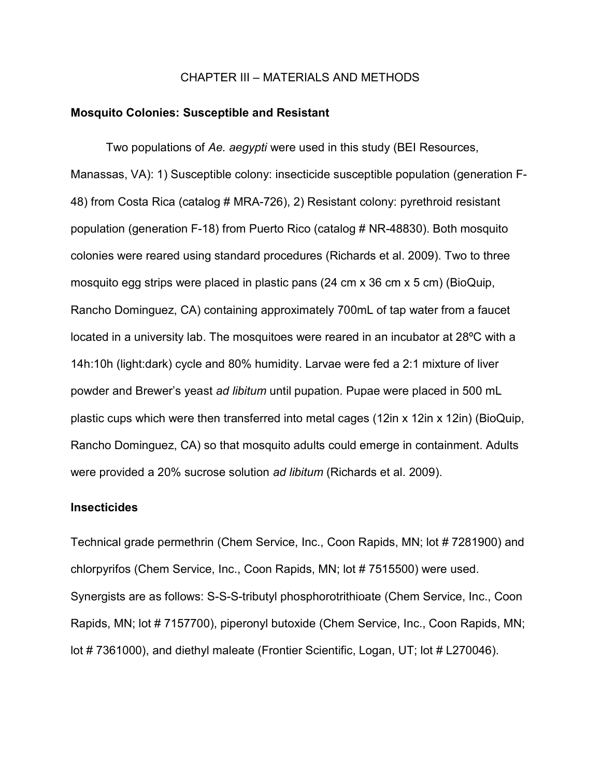#### CHAPTER III – MATERIALS AND METHODS

#### Mosquito Colonies: Susceptible and Resistant

Two populations of Ae. aegypti were used in this study (BEI Resources, Manassas, VA): 1) Susceptible colony: insecticide susceptible population (generation F-48) from Costa Rica (catalog # MRA-726), 2) Resistant colony: pyrethroid resistant population (generation F-18) from Puerto Rico (catalog # NR-48830). Both mosquito colonies were reared using standard procedures (Richards et al. 2009). Two to three mosquito egg strips were placed in plastic pans  $(24 \text{ cm} \times 36 \text{ cm} \times 5 \text{ cm})$  (BioQuip, Rancho Dominguez, CA) containing approximately 700mL of tap water from a faucet located in a university lab. The mosquitoes were reared in an incubator at 28ºC with a 14h:10h (light:dark) cycle and 80% humidity. Larvae were fed a 2:1 mixture of liver powder and Brewer's yeast ad libitum until pupation. Pupae were placed in 500 mL plastic cups which were then transferred into metal cages (12in x 12in x 12in) (BioQuip, Rancho Dominguez, CA) so that mosquito adults could emerge in containment. Adults were provided a 20% sucrose solution ad libitum (Richards et al. 2009).

#### Insecticides

Technical grade permethrin (Chem Service, Inc., Coon Rapids, MN; lot # 7281900) and chlorpyrifos (Chem Service, Inc., Coon Rapids, MN; lot # 7515500) were used. Synergists are as follows: S-S-S-tributyl phosphorotrithioate (Chem Service, Inc., Coon Rapids, MN; lot # 7157700), piperonyl butoxide (Chem Service, Inc., Coon Rapids, MN; lot #7361000), and diethyl maleate (Frontier Scientific, Logan, UT; lot #L270046).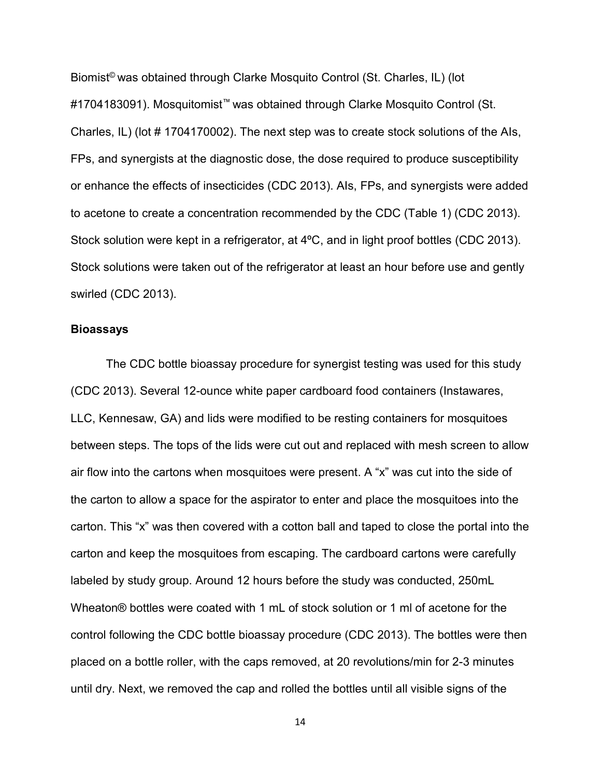Biomist<sup>®</sup> was obtained through Clarke Mosquito Control (St. Charles, IL) (lot #1704183091). Mosquitomist™ was obtained through Clarke Mosquito Control (St. Charles, IL) (lot # 1704170002). The next step was to create stock solutions of the AIs, FPs, and synergists at the diagnostic dose, the dose required to produce susceptibility or enhance the effects of insecticides (CDC 2013). AIs, FPs, and synergists were added to acetone to create a concentration recommended by the CDC (Table 1) (CDC 2013). Stock solution were kept in a refrigerator, at 4ºC, and in light proof bottles (CDC 2013). Stock solutions were taken out of the refrigerator at least an hour before use and gently swirled (CDC 2013).

#### Bioassays

 The CDC bottle bioassay procedure for synergist testing was used for this study (CDC 2013). Several 12-ounce white paper cardboard food containers (Instawares, LLC, Kennesaw, GA) and lids were modified to be resting containers for mosquitoes between steps. The tops of the lids were cut out and replaced with mesh screen to allow air flow into the cartons when mosquitoes were present. A "x" was cut into the side of the carton to allow a space for the aspirator to enter and place the mosquitoes into the carton. This "x" was then covered with a cotton ball and taped to close the portal into the carton and keep the mosquitoes from escaping. The cardboard cartons were carefully labeled by study group. Around 12 hours before the study was conducted, 250mL Wheaton® bottles were coated with 1 mL of stock solution or 1 ml of acetone for the control following the CDC bottle bioassay procedure (CDC 2013). The bottles were then placed on a bottle roller, with the caps removed, at 20 revolutions/min for 2-3 minutes until dry. Next, we removed the cap and rolled the bottles until all visible signs of the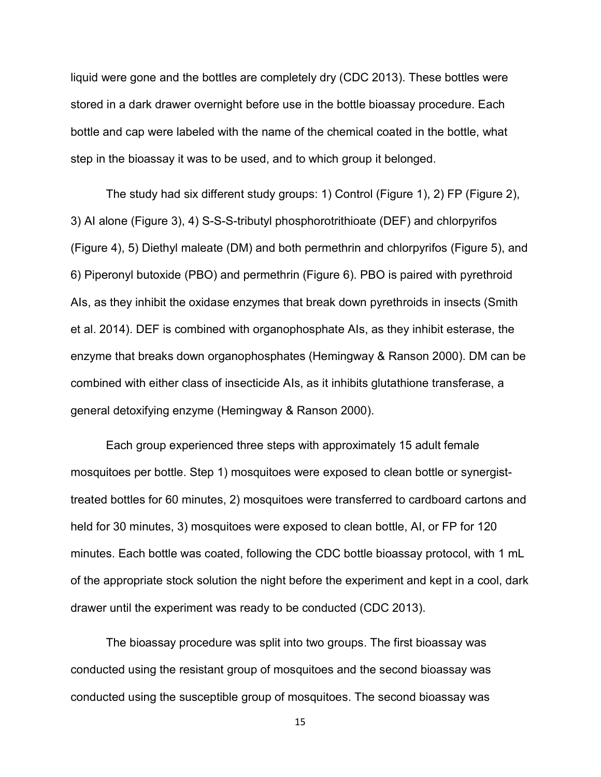liquid were gone and the bottles are completely dry (CDC 2013). These bottles were stored in a dark drawer overnight before use in the bottle bioassay procedure. Each bottle and cap were labeled with the name of the chemical coated in the bottle, what step in the bioassay it was to be used, and to which group it belonged.

 The study had six different study groups: 1) Control (Figure 1), 2) FP (Figure 2), 3) AI alone (Figure 3), 4) S-S-S-tributyl phosphorotrithioate (DEF) and chlorpyrifos (Figure 4), 5) Diethyl maleate (DM) and both permethrin and chlorpyrifos (Figure 5), and 6) Piperonyl butoxide (PBO) and permethrin (Figure 6). PBO is paired with pyrethroid AIs, as they inhibit the oxidase enzymes that break down pyrethroids in insects (Smith et al. 2014). DEF is combined with organophosphate AIs, as they inhibit esterase, the enzyme that breaks down organophosphates (Hemingway & Ranson 2000). DM can be combined with either class of insecticide AIs, as it inhibits glutathione transferase, a general detoxifying enzyme (Hemingway & Ranson 2000).

 Each group experienced three steps with approximately 15 adult female mosquitoes per bottle. Step 1) mosquitoes were exposed to clean bottle or synergisttreated bottles for 60 minutes, 2) mosquitoes were transferred to cardboard cartons and held for 30 minutes, 3) mosquitoes were exposed to clean bottle, AI, or FP for 120 minutes. Each bottle was coated, following the CDC bottle bioassay protocol, with 1 mL of the appropriate stock solution the night before the experiment and kept in a cool, dark drawer until the experiment was ready to be conducted (CDC 2013).

 The bioassay procedure was split into two groups. The first bioassay was conducted using the resistant group of mosquitoes and the second bioassay was conducted using the susceptible group of mosquitoes. The second bioassay was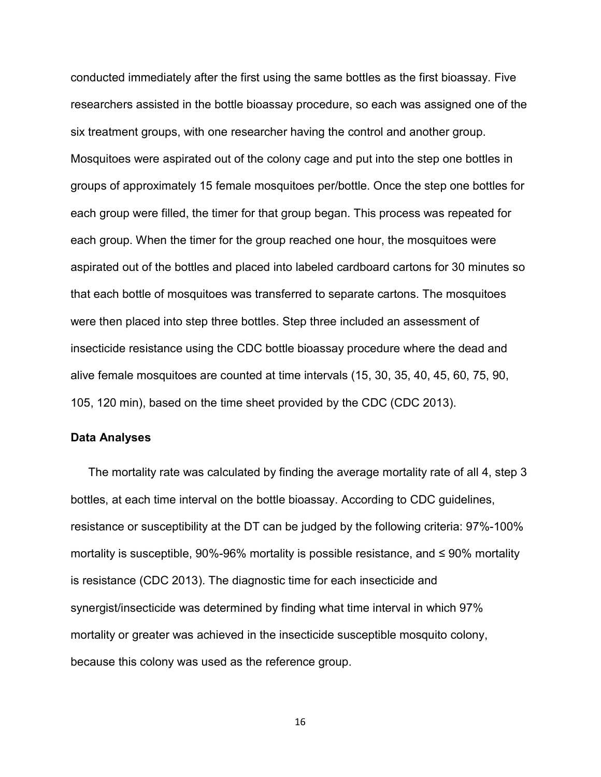conducted immediately after the first using the same bottles as the first bioassay. Five researchers assisted in the bottle bioassay procedure, so each was assigned one of the six treatment groups, with one researcher having the control and another group. Mosquitoes were aspirated out of the colony cage and put into the step one bottles in groups of approximately 15 female mosquitoes per/bottle. Once the step one bottles for each group were filled, the timer for that group began. This process was repeated for each group. When the timer for the group reached one hour, the mosquitoes were aspirated out of the bottles and placed into labeled cardboard cartons for 30 minutes so that each bottle of mosquitoes was transferred to separate cartons. The mosquitoes were then placed into step three bottles. Step three included an assessment of insecticide resistance using the CDC bottle bioassay procedure where the dead and alive female mosquitoes are counted at time intervals (15, 30, 35, 40, 45, 60, 75, 90, 105, 120 min), based on the time sheet provided by the CDC (CDC 2013).

#### Data Analyses

 The mortality rate was calculated by finding the average mortality rate of all 4, step 3 bottles, at each time interval on the bottle bioassay. According to CDC guidelines, resistance or susceptibility at the DT can be judged by the following criteria: 97%-100% mortality is susceptible, 90%-96% mortality is possible resistance, and ≤ 90% mortality is resistance (CDC 2013). The diagnostic time for each insecticide and synergist/insecticide was determined by finding what time interval in which 97% mortality or greater was achieved in the insecticide susceptible mosquito colony, because this colony was used as the reference group.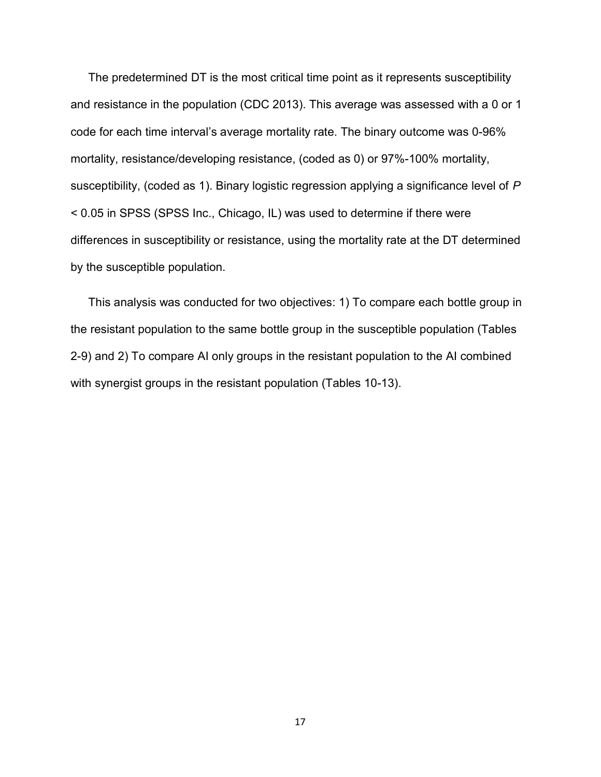The predetermined DT is the most critical time point as it represents susceptibility and resistance in the population (CDC 2013). This average was assessed with a 0 or 1 code for each time interval's average mortality rate. The binary outcome was 0-96% mortality, resistance/developing resistance, (coded as 0) or 97%-100% mortality, susceptibility, (coded as 1). Binary logistic regression applying a significance level of P < 0.05 in SPSS (SPSS Inc., Chicago, IL) was used to determine if there were differences in susceptibility or resistance, using the mortality rate at the DT determined by the susceptible population.

 This analysis was conducted for two objectives: 1) To compare each bottle group in the resistant population to the same bottle group in the susceptible population (Tables 2-9) and 2) To compare AI only groups in the resistant population to the AI combined with synergist groups in the resistant population (Tables 10-13).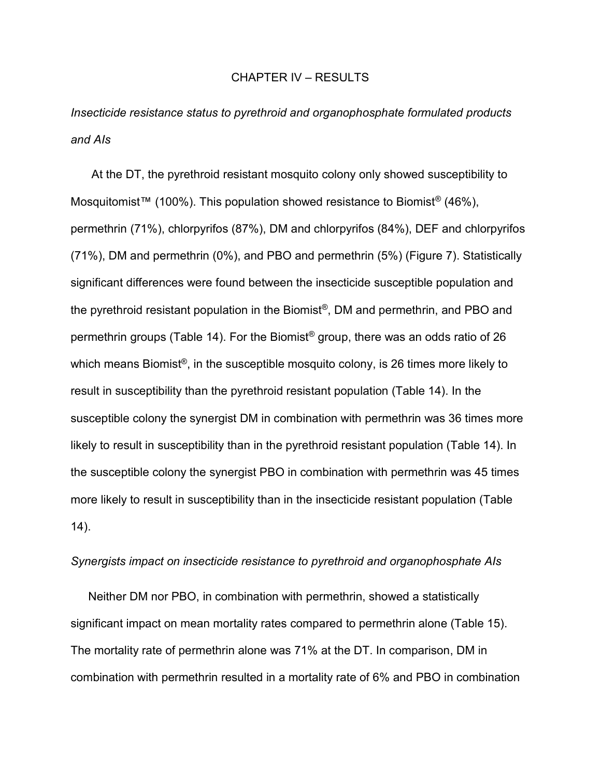#### CHAPTER IV – RESULTS

Insecticide resistance status to pyrethroid and organophosphate formulated products and AIs

 At the DT, the pyrethroid resistant mosquito colony only showed susceptibility to Mosquitomist™ (100%). This population showed resistance to Biomist<sup>®</sup> (46%), permethrin (71%), chlorpyrifos (87%), DM and chlorpyrifos (84%), DEF and chlorpyrifos (71%), DM and permethrin (0%), and PBO and permethrin (5%) (Figure 7). Statistically significant differences were found between the insecticide susceptible population and the pyrethroid resistant population in the Biomist®, DM and permethrin, and PBO and permethrin groups (Table 14). For the Biomist® group, there was an odds ratio of 26 which means Biomist<sup>®</sup>, in the susceptible mosquito colony, is 26 times more likely to result in susceptibility than the pyrethroid resistant population (Table 14). In the susceptible colony the synergist DM in combination with permethrin was 36 times more likely to result in susceptibility than in the pyrethroid resistant population (Table 14). In the susceptible colony the synergist PBO in combination with permethrin was 45 times more likely to result in susceptibility than in the insecticide resistant population (Table 14).

#### Synergists impact on insecticide resistance to pyrethroid and organophosphate AIs

 Neither DM nor PBO, in combination with permethrin, showed a statistically significant impact on mean mortality rates compared to permethrin alone (Table 15). The mortality rate of permethrin alone was 71% at the DT. In comparison, DM in combination with permethrin resulted in a mortality rate of 6% and PBO in combination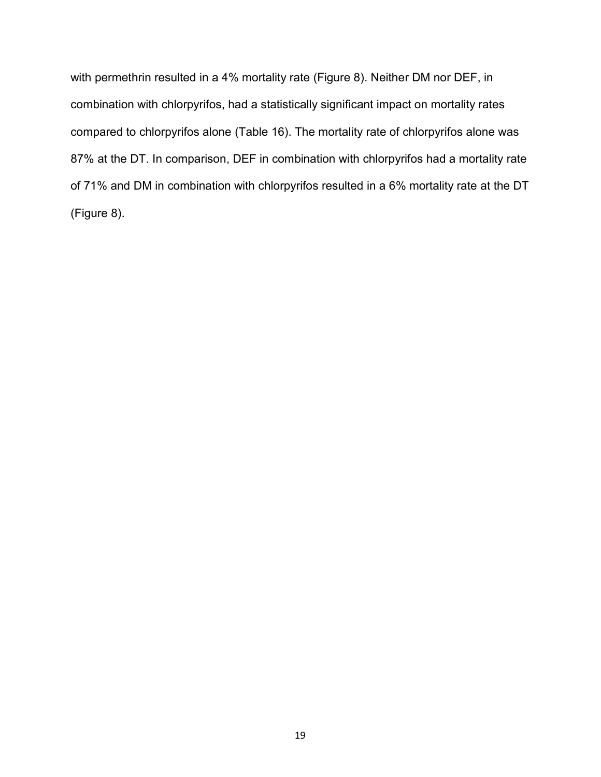with permethrin resulted in a 4% mortality rate (Figure 8). Neither DM nor DEF, in combination with chlorpyrifos, had a statistically significant impact on mortality rates compared to chlorpyrifos alone (Table 16). The mortality rate of chlorpyrifos alone was 87% at the DT. In comparison, DEF in combination with chlorpyrifos had a mortality rate of 71% and DM in combination with chlorpyrifos resulted in a 6% mortality rate at the DT (Figure 8).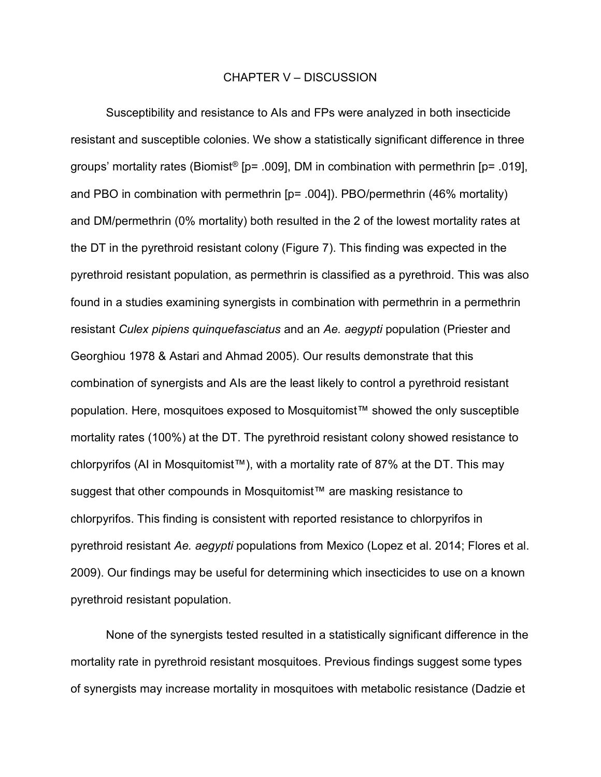#### CHAPTER V – DISCUSSION

 Susceptibility and resistance to AIs and FPs were analyzed in both insecticide resistant and susceptible colonies. We show a statistically significant difference in three groups' mortality rates (Biomist<sup>®</sup> [p= .009], DM in combination with permethrin [p= .019], and PBO in combination with permethrin [p= .004]). PBO/permethrin (46% mortality) and DM/permethrin (0% mortality) both resulted in the 2 of the lowest mortality rates at the DT in the pyrethroid resistant colony (Figure 7). This finding was expected in the pyrethroid resistant population, as permethrin is classified as a pyrethroid. This was also found in a studies examining synergists in combination with permethrin in a permethrin resistant Culex pipiens quinquefasciatus and an Ae. aegypti population (Priester and Georghiou 1978 & Astari and Ahmad 2005). Our results demonstrate that this combination of synergists and AIs are the least likely to control a pyrethroid resistant population. Here, mosquitoes exposed to Mosquitomist™ showed the only susceptible mortality rates (100%) at the DT. The pyrethroid resistant colony showed resistance to chlorpyrifos (AI in Mosquitomist™), with a mortality rate of 87% at the DT. This may suggest that other compounds in Mosquitomist™ are masking resistance to chlorpyrifos. This finding is consistent with reported resistance to chlorpyrifos in pyrethroid resistant Ae. aegypti populations from Mexico (Lopez et al. 2014; Flores et al. 2009). Our findings may be useful for determining which insecticides to use on a known pyrethroid resistant population.

 None of the synergists tested resulted in a statistically significant difference in the mortality rate in pyrethroid resistant mosquitoes. Previous findings suggest some types of synergists may increase mortality in mosquitoes with metabolic resistance (Dadzie et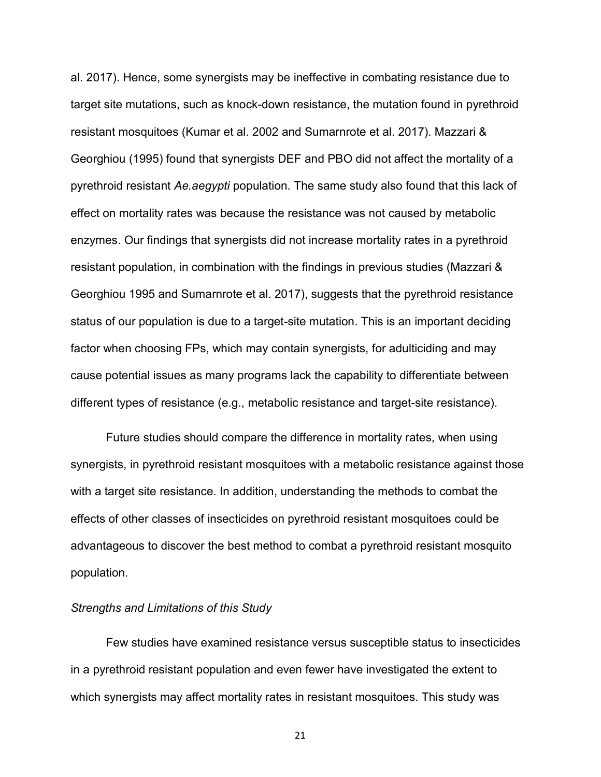al. 2017). Hence, some synergists may be ineffective in combating resistance due to target site mutations, such as knock-down resistance, the mutation found in pyrethroid resistant mosquitoes (Kumar et al. 2002 and Sumarnrote et al. 2017). Mazzari & Georghiou (1995) found that synergists DEF and PBO did not affect the mortality of a pyrethroid resistant Ae.aegypti population. The same study also found that this lack of effect on mortality rates was because the resistance was not caused by metabolic enzymes. Our findings that synergists did not increase mortality rates in a pyrethroid resistant population, in combination with the findings in previous studies (Mazzari & Georghiou 1995 and Sumarnrote et al. 2017), suggests that the pyrethroid resistance status of our population is due to a target-site mutation. This is an important deciding factor when choosing FPs, which may contain synergists, for adulticiding and may cause potential issues as many programs lack the capability to differentiate between different types of resistance (e.g., metabolic resistance and target-site resistance).

 Future studies should compare the difference in mortality rates, when using synergists, in pyrethroid resistant mosquitoes with a metabolic resistance against those with a target site resistance. In addition, understanding the methods to combat the effects of other classes of insecticides on pyrethroid resistant mosquitoes could be advantageous to discover the best method to combat a pyrethroid resistant mosquito population.

#### Strengths and Limitations of this Study

 Few studies have examined resistance versus susceptible status to insecticides in a pyrethroid resistant population and even fewer have investigated the extent to which synergists may affect mortality rates in resistant mosquitoes. This study was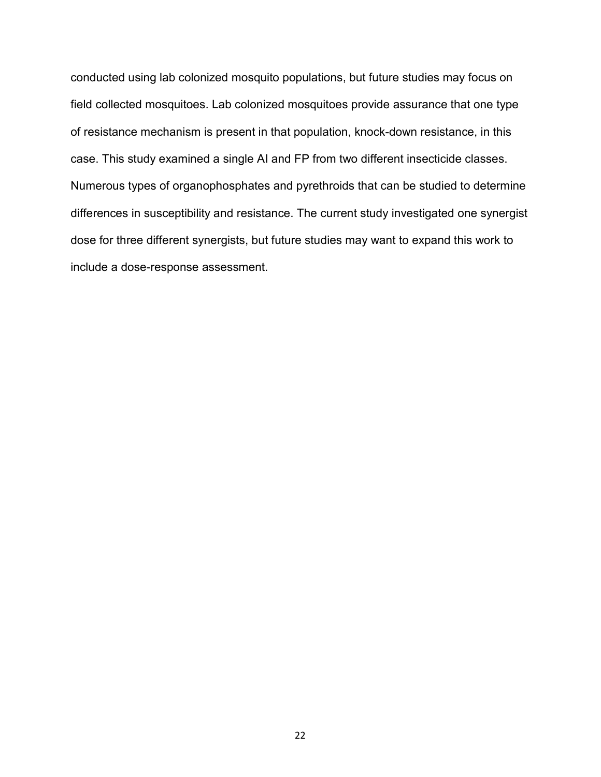conducted using lab colonized mosquito populations, but future studies may focus on field collected mosquitoes. Lab colonized mosquitoes provide assurance that one type of resistance mechanism is present in that population, knock-down resistance, in this case. This study examined a single AI and FP from two different insecticide classes. Numerous types of organophosphates and pyrethroids that can be studied to determine differences in susceptibility and resistance. The current study investigated one synergist dose for three different synergists, but future studies may want to expand this work to include a dose-response assessment.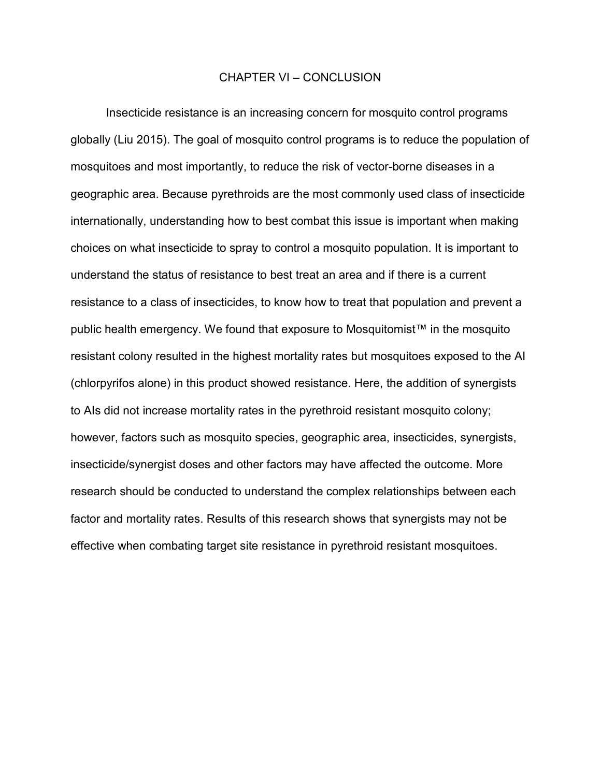#### CHAPTER VI – CONCLUSION

 Insecticide resistance is an increasing concern for mosquito control programs globally (Liu 2015). The goal of mosquito control programs is to reduce the population of mosquitoes and most importantly, to reduce the risk of vector-borne diseases in a geographic area. Because pyrethroids are the most commonly used class of insecticide internationally, understanding how to best combat this issue is important when making choices on what insecticide to spray to control a mosquito population. It is important to understand the status of resistance to best treat an area and if there is a current resistance to a class of insecticides, to know how to treat that population and prevent a public health emergency. We found that exposure to Mosquitomist™ in the mosquito resistant colony resulted in the highest mortality rates but mosquitoes exposed to the AI (chlorpyrifos alone) in this product showed resistance. Here, the addition of synergists to AIs did not increase mortality rates in the pyrethroid resistant mosquito colony; however, factors such as mosquito species, geographic area, insecticides, synergists, insecticide/synergist doses and other factors may have affected the outcome. More research should be conducted to understand the complex relationships between each factor and mortality rates. Results of this research shows that synergists may not be effective when combating target site resistance in pyrethroid resistant mosquitoes.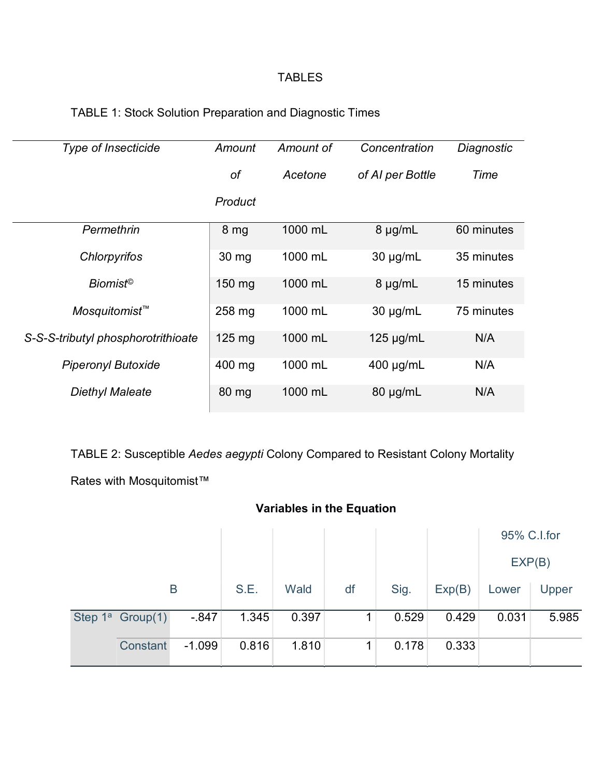# TABLES

| <b>Type of Insecticide</b>         | Amount           | Amount of | Concentration    | Diagnostic |
|------------------------------------|------------------|-----------|------------------|------------|
|                                    | of               | Acetone   | of AI per Bottle | Time       |
|                                    | Product          |           |                  |            |
| Permethrin                         | 8 <sub>mg</sub>  | 1000 mL   | $8 \mu g/mL$     | 60 minutes |
| Chlorpyrifos                       | $30 \text{ mg}$  | 1000 mL   | $30 \mu g/mL$    | 35 minutes |
| <b>Biomist<sup>®</sup></b>         | 150 mg           | 1000 mL   | $8 \mu g/mL$     | 15 minutes |
| Mosquitomist <sup>™</sup>          | 258 mg           | 1000 mL   | $30 \mu g/mL$    | 75 minutes |
| S-S-S-tributyl phosphorotrithioate | $125 \text{ mg}$ | 1000 mL   | $125 \mu g/mL$   | N/A        |
| <b>Piperonyl Butoxide</b>          | 400 mg           | 1000 mL   | $400 \mu g/mL$   | N/A        |
| Diethyl Maleate                    | $80 \mathrm{mg}$ | 1000 mL   | $80 \mu g/mL$    | N/A        |

TABLE 2: Susceptible Aedes aegypti Colony Compared to Resistant Colony Mortality

Rates with Mosquitomist™

| <b>Variables in the Equation</b> |                     |          |       |       |      |        |       |       |             |
|----------------------------------|---------------------|----------|-------|-------|------|--------|-------|-------|-------------|
|                                  |                     |          |       |       |      |        |       |       | 95% C.I.for |
|                                  |                     |          |       |       |      |        |       |       | EXP(B)      |
| B                                |                     | S.E.     | Wald  | df    | Sig. | Exp(B) | Lower | Upper |             |
|                                  | Step $1^a$ Group(1) | $-847$   | 1.345 | 0.397 |      | 0.529  | 0.429 | 0.031 | 5.985       |
|                                  | Constant            | $-1.099$ | 0.816 | 1.810 | 4    | 0.178  | 0.333 |       |             |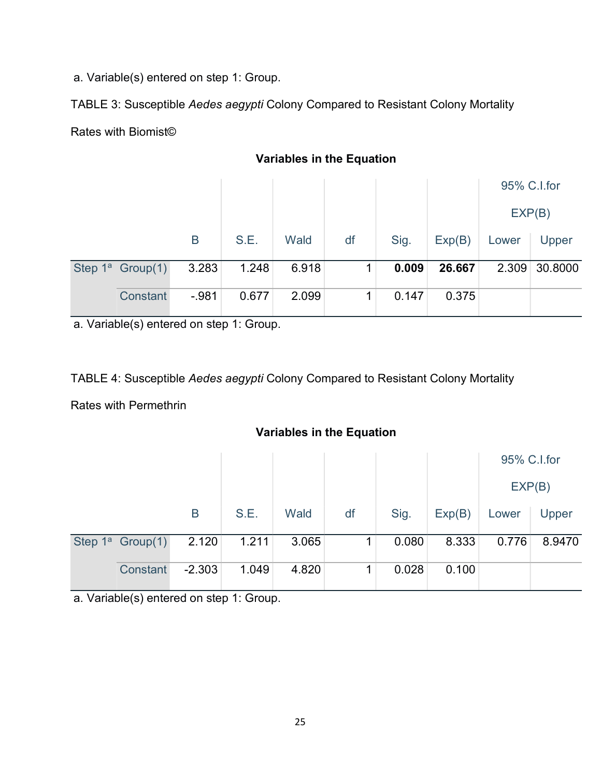a. Variable(s) entered on step 1: Group.

TABLE 3: Susceptible Aedes aegypti Colony Compared to Resistant Colony Mortality Rates with Biomist©

|                     |        |       |       |    |       |        |       | 95% C.I.for |
|---------------------|--------|-------|-------|----|-------|--------|-------|-------------|
|                     |        |       |       |    |       |        |       | EXP(B)      |
|                     | B      | S.E.  | Wald  | df | Sig.  | Exp(B) | Lower | Upper       |
| Step $1^a$ Group(1) | 3.283  | 1.248 | 6.918 |    | 0.009 | 26.667 | 2.309 | 30.8000     |
| Constant            | $-981$ | 0.677 | 2.099 |    | 0.147 | 0.375  |       |             |

Variables in the Equation

a. Variable(s) entered on step 1: Group.

TABLE 4: Susceptible Aedes aegypti Colony Compared to Resistant Colony Mortality

Rates with Permethrin

## Variables in the Equation

|                     |          |       |       |    |       |        | 95% C.I.for |        |
|---------------------|----------|-------|-------|----|-------|--------|-------------|--------|
|                     |          |       |       |    |       |        | EXP(B)      |        |
|                     | B        | S.E.  | Wald  | df | Sig.  | Exp(B) | Lower       | Upper  |
| Step $1^a$ Group(1) | 2.120    | 1.211 | 3.065 |    | 0.080 | 8.333  | 0.776       | 8.9470 |
| Constant            | $-2.303$ | 1.049 | 4.820 |    | 0.028 | 0.100  |             |        |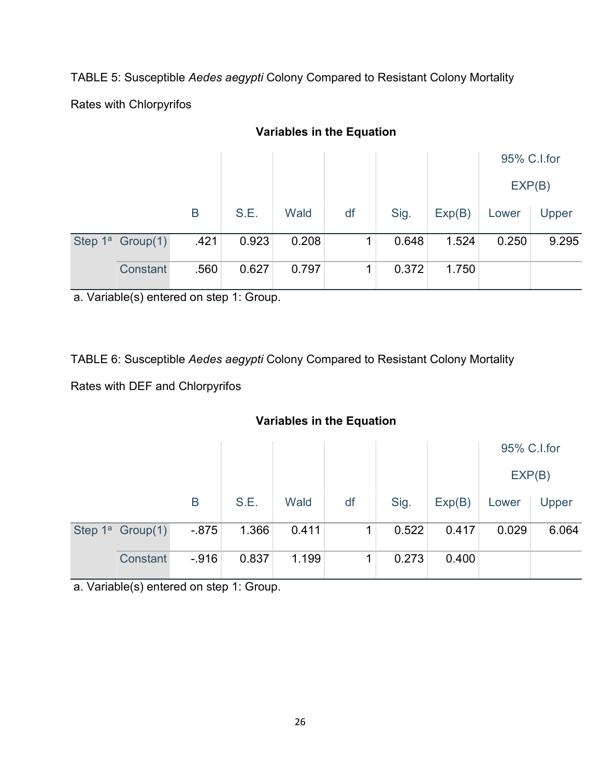TABLE 5: Susceptible Aedes aegypti Colony Compared to Resistant Colony Mortality

Rates with Chlorpyrifos

|                     |      |       |       |    |       |        |        | 95% C.I.for |
|---------------------|------|-------|-------|----|-------|--------|--------|-------------|
|                     |      |       |       |    |       |        | EXP(B) |             |
|                     | B    | S.E.  | Wald  | df | Sig.  | Exp(B) | Lower  | Upper       |
| Step $1^a$ Group(1) | .421 | 0.923 | 0.208 |    | 0.648 | 1.524  | 0.250  | 9.295       |
| Constant            | .560 | 0.627 | 0.797 |    | 0.372 | 1.750  |        |             |

# Variables in the Equation

a. Variable(s) entered on step 1: Group.

TABLE 6: Susceptible Aedes aegypti Colony Compared to Resistant Colony Mortality

Rates with DEF and Chlorpyrifos

# Variables in the Equation

|                     |          |       |       |    |       |        | 95% C.I.for |       |
|---------------------|----------|-------|-------|----|-------|--------|-------------|-------|
|                     |          |       |       |    |       |        | EXP(B)      |       |
|                     | Β        | S.E.  | Wald  | df | Sig.  | Exp(B) | Lower       | Upper |
| Step $1^a$ Group(1) | $-0.875$ | 1.366 | 0.411 |    | 0.522 | 0.417  | 0.029       | 6.064 |
| Constant            | $-916$   | 0.837 | 1.199 |    | 0.273 | 0.400  |             |       |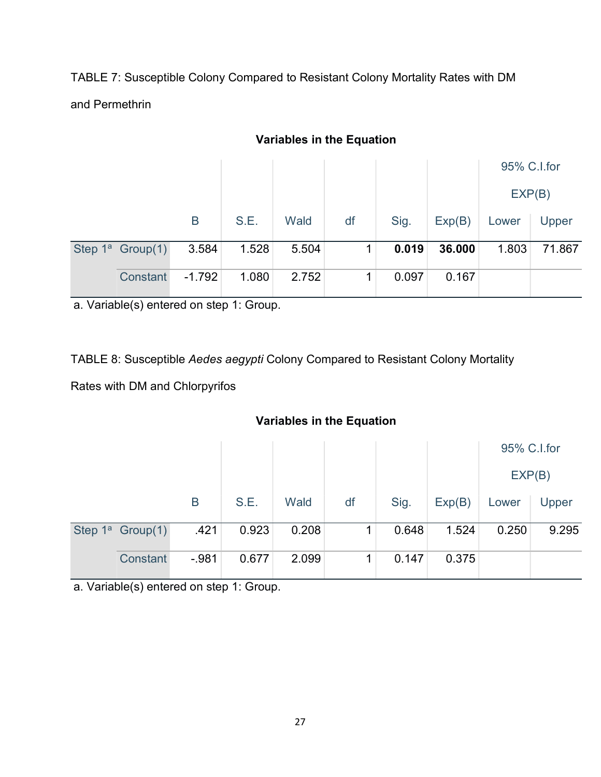TABLE 7: Susceptible Colony Compared to Resistant Colony Mortality Rates with DM and Permethrin

|                     |          |       |       |    |       |        |       | 95% C.I.for |
|---------------------|----------|-------|-------|----|-------|--------|-------|-------------|
|                     |          |       |       |    |       |        |       | EXP(B)      |
|                     | B        | S.E.  | Wald  | df | Sig.  | Exp(B) | Lower | Upper       |
| Step $1^a$ Group(1) | 3.584    | 1.528 | 5.504 |    | 0.019 | 36.000 | 1.803 | 71.867      |
| Constant            | $-1.792$ | 1.080 | 2.752 | 1  | 0.097 | 0.167  |       |             |

# Variables in the Equation

a. Variable(s) entered on step 1: Group.

TABLE 8: Susceptible Aedes aegypti Colony Compared to Resistant Colony Mortality

Rates with DM and Chlorpyrifos

# Variables in the Equation

|                     |        |       |       |    |       |        | 95% C.I.for |       |
|---------------------|--------|-------|-------|----|-------|--------|-------------|-------|
|                     |        |       |       |    |       |        | EXP(B)      |       |
|                     | Β      | S.E.  | Wald  | df | Sig.  | Exp(B) | Lower       | Upper |
| Step $1^a$ Group(1) | .421   | 0.923 | 0.208 |    | 0.648 | 1.524  | 0.250       | 9.295 |
| Constant            | $-981$ | 0.677 | 2.099 |    | 0.147 | 0.375  |             |       |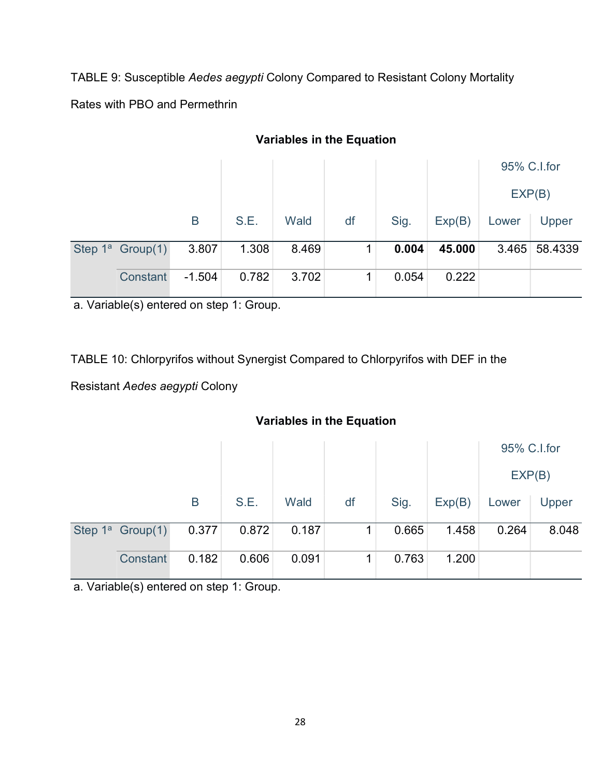TABLE 9: Susceptible Aedes aegypti Colony Compared to Resistant Colony Mortality

Rates with PBO and Permethrin

|                     |          |       |       |    |       |        |       | 95% C.I.for   |
|---------------------|----------|-------|-------|----|-------|--------|-------|---------------|
|                     |          |       |       |    |       |        |       | EXP(B)        |
|                     | B        | S.E.  | Wald  | df | Sig.  | Exp(B) | Lower | Upper         |
| Step $1^a$ Group(1) | 3.807    | 1.308 | 8.469 |    | 0.004 | 45.000 |       | 3.465 58.4339 |
| Constant            | $-1.504$ | 0.782 | 3.702 |    | 0.054 | 0.222  |       |               |

# Variables in the Equation

a. Variable(s) entered on step 1: Group.

TABLE 10: Chlorpyrifos without Synergist Compared to Chlorpyrifos with DEF in the

Resistant Aedes aegypti Colony

## Variables in the Equation

|                     |       |       |       |    |       |        | 95% C.I.for |       |
|---------------------|-------|-------|-------|----|-------|--------|-------------|-------|
|                     |       |       |       |    |       |        | EXP(B)      |       |
|                     | B     | S.E.  | Wald  | df | Sig.  | Exp(B) | Lower       | Upper |
| Step $1^a$ Group(1) | 0.377 | 0.872 | 0.187 |    | 0.665 | 1.458  | 0.264       | 8.048 |
| Constant            | 0.182 | 0.606 | 0.091 |    | 0.763 | 1.200  |             |       |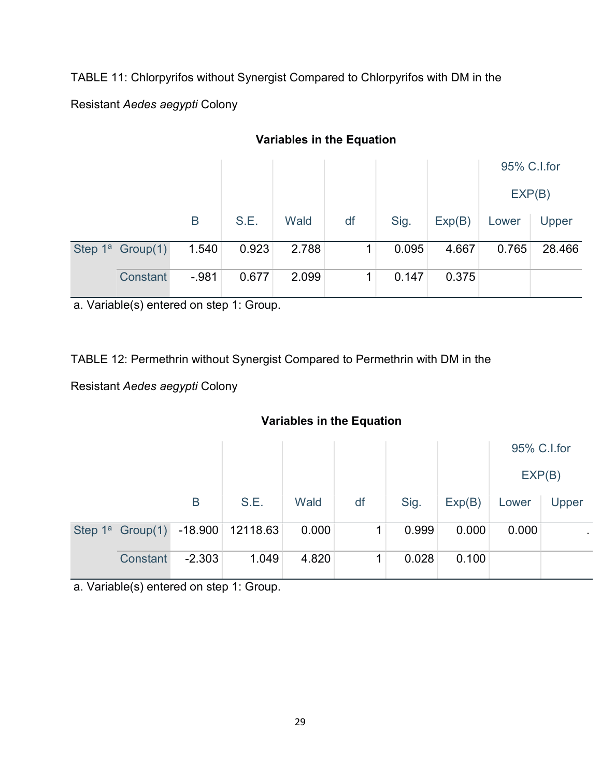TABLE 11: Chlorpyrifos without Synergist Compared to Chlorpyrifos with DM in the

Resistant Aedes aegypti Colony

|                              |         |       |       |    |       |        |        | 95% C.I.for |
|------------------------------|---------|-------|-------|----|-------|--------|--------|-------------|
|                              |         |       |       |    |       |        | EXP(B) |             |
|                              | B       | S.E.  | Wald  | df | Sig.  | Exp(B) | Lower  | Upper       |
| Step 1 <sup>a</sup> Group(1) | 1.540   | 0.923 | 2.788 |    | 0.095 | 4.667  | 0.765  | 28.466      |
| Constant                     | $-.981$ | 0.677 | 2.099 |    | 0.147 | 0.375  |        |             |

# Variables in the Equation

a. Variable(s) entered on step 1: Group.

TABLE 12: Permethrin without Synergist Compared to Permethrin with DM in the

Resistant Aedes aegypti Colony

## Variables in the Equation

|                     |          |                    |       |    |       |        | 95% C.I.for |           |
|---------------------|----------|--------------------|-------|----|-------|--------|-------------|-----------|
|                     |          |                    |       |    |       |        | EXP(B)      |           |
|                     | B        | S.E.               | Wald  | df | Sig.  | Exp(B) | Lower       | Upper     |
| Step $1^a$ Group(1) |          | $-18.900$ 12118.63 | 0.000 |    | 0.999 | 0.000  | 0.000       | $\bullet$ |
| Constant            | $-2.303$ | 1.049              | 4.820 |    | 0.028 | 0.100  |             |           |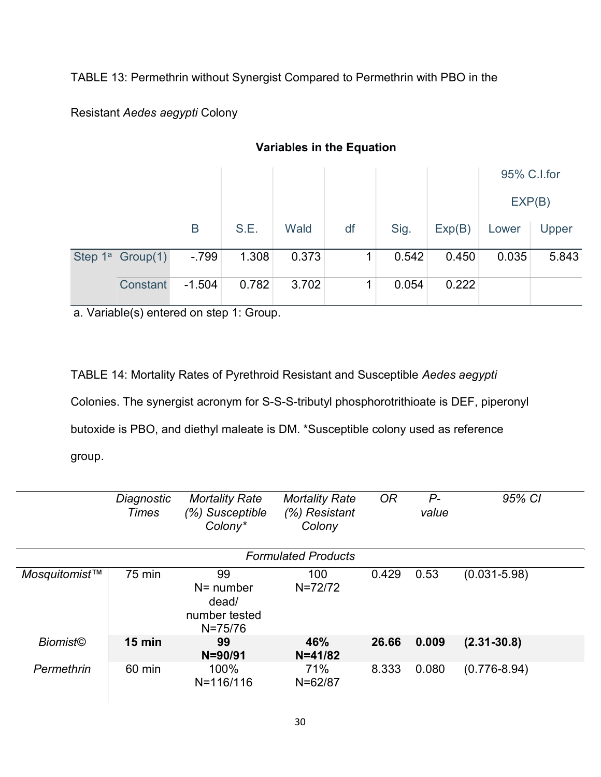TABLE 13: Permethrin without Synergist Compared to Permethrin with PBO in the

Resistant Aedes aegypti Colony

|                     |          |       |       |    |       |        | 95% C.I.for |       |
|---------------------|----------|-------|-------|----|-------|--------|-------------|-------|
|                     |          |       |       |    |       |        | EXP(B)      |       |
|                     | Β        | S.E.  | Wald  | df | Sig.  | Exp(B) | Lower       | Upper |
| Step $1^a$ Group(1) | $-799$   | 1.308 | 0.373 |    | 0.542 | 0.450  | 0.035       | 5.843 |
| Constant            | $-1.504$ | 0.782 | 3.702 |    | 0.054 | 0.222  |             |       |

# Variables in the Equation

a. Variable(s) entered on step 1: Group.

TABLE 14: Mortality Rates of Pyrethroid Resistant and Susceptible Aedes aegypti Colonies. The synergist acronym for S-S-S-tributyl phosphorotrithioate is DEF, piperonyl butoxide is PBO, and diethyl maleate is DM. \*Susceptible colony used as reference group.

|                 | Diagnostic<br><b>Times</b> | <b>Mortality Rate</b><br>(%) Susceptible<br>Colony*         | <b>Mortality Rate</b><br>(%) Resistant<br>Colony | <b>OR</b> | $P-$<br>value | 95% CI           |
|-----------------|----------------------------|-------------------------------------------------------------|--------------------------------------------------|-----------|---------------|------------------|
|                 |                            |                                                             | <b>Formulated Products</b>                       |           |               |                  |
| Mosquitomist™   | <b>75 min</b>              | 99<br>$N =$ number<br>dead/<br>number tested<br>$N = 75/76$ | 100<br>$N = 72/72$                               | 0.429     | 0.53          | $(0.031 - 5.98)$ |
| <b>Biomist©</b> | $15$ min                   | 99<br>$N = 90/91$                                           | 46%<br>$N = 41/82$                               | 26.66     | 0.009         | $(2.31 - 30.8)$  |
| Permethrin      | 60 min                     | 100%<br>N=116/116                                           | 71%<br>$N = 62/87$                               | 8.333     | 0.080         | $(0.776 - 8.94)$ |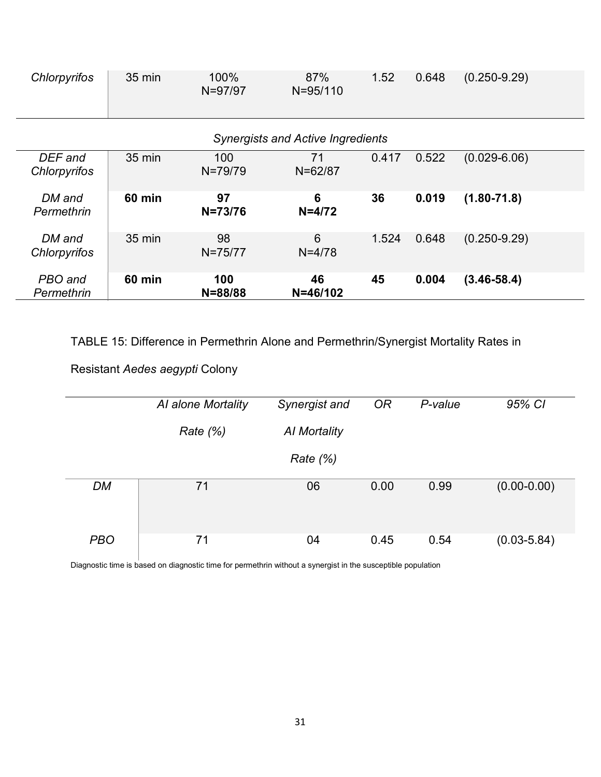| Chlorpyrifos            | $35 \text{ min}$ | 100%<br>N=97/97    | 87%<br>$N = 95/110$                      | 1.52  | 0.648 | $(0.250 - 9.29)$ |
|-------------------------|------------------|--------------------|------------------------------------------|-------|-------|------------------|
|                         |                  |                    | <b>Synergists and Active Ingredients</b> |       |       |                  |
| DEF and<br>Chlorpyrifos | $35 \text{ min}$ | 100<br>$N = 79/79$ | 71<br>$N = 62/87$                        | 0.417 | 0.522 | $(0.029 - 6.06)$ |
| DM and<br>Permethrin    | <b>60 min</b>    | 97<br>$N = 73/76$  | 6<br>$N = 4/72$                          | 36    | 0.019 | $(1.80 - 71.8)$  |
| DM and<br>Chlorpyrifos  | $35 \text{ min}$ | 98<br>$N = 75/77$  | 6<br>$N = 4/78$                          | 1.524 | 0.648 | $(0.250 - 9.29)$ |
| PBO and<br>Permethrin   | <b>60 min</b>    | 100<br>$N = 88/88$ | 46<br>$N = 46/102$                       | 45    | 0.004 | $(3.46 - 58.4)$  |

TABLE 15: Difference in Permethrin Alone and Permethrin/Synergist Mortality Rates in

# Resistant Aedes aegypti Colony

|            | Al alone Mortality | Synergist and | <b>OR</b> | P-value | 95% CI          |
|------------|--------------------|---------------|-----------|---------|-----------------|
|            | Rate $(\%)$        | Al Mortality  |           |         |                 |
|            |                    | Rate $(\%)$   |           |         |                 |
| <b>DM</b>  | 71                 | 06            | 0.00      | 0.99    | $(0.00 - 0.00)$ |
| <b>PBO</b> | 71                 | 04            | 0.45      | 0.54    | $(0.03 - 5.84)$ |

Diagnostic time is based on diagnostic time for permethrin without a synergist in the susceptible population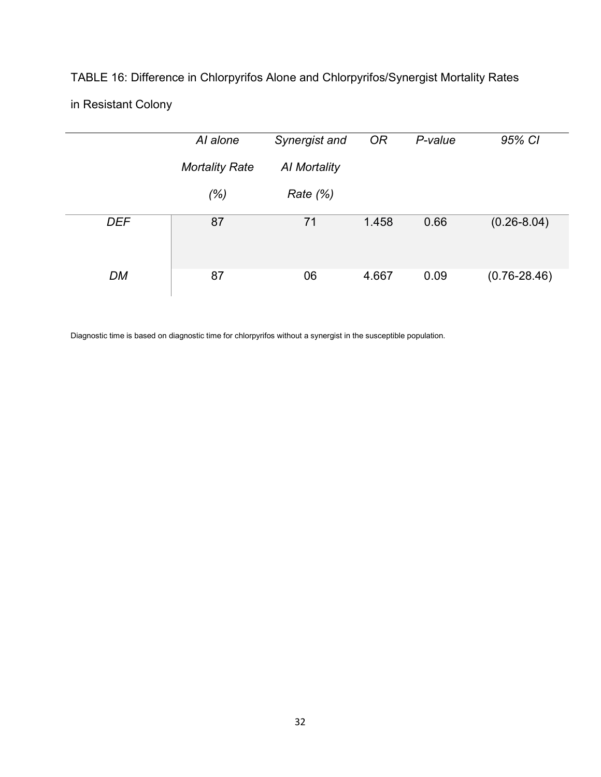# TABLE 16: Difference in Chlorpyrifos Alone and Chlorpyrifos/Synergist Mortality Rates

# in Resistant Colony

|            | Al alone              | Synergist and | <b>OR</b> | P-value | 95% CI           |
|------------|-----------------------|---------------|-----------|---------|------------------|
|            | <b>Mortality Rate</b> | Al Mortality  |           |         |                  |
|            | (% )                  | Rate $(\%)$   |           |         |                  |
| <b>DEF</b> | 87                    | 71            | 1.458     | 0.66    | $(0.26 - 8.04)$  |
| DM         | 87                    | 06            | 4.667     | 0.09    | $(0.76 - 28.46)$ |

Diagnostic time is based on diagnostic time for chlorpyrifos without a synergist in the susceptible population.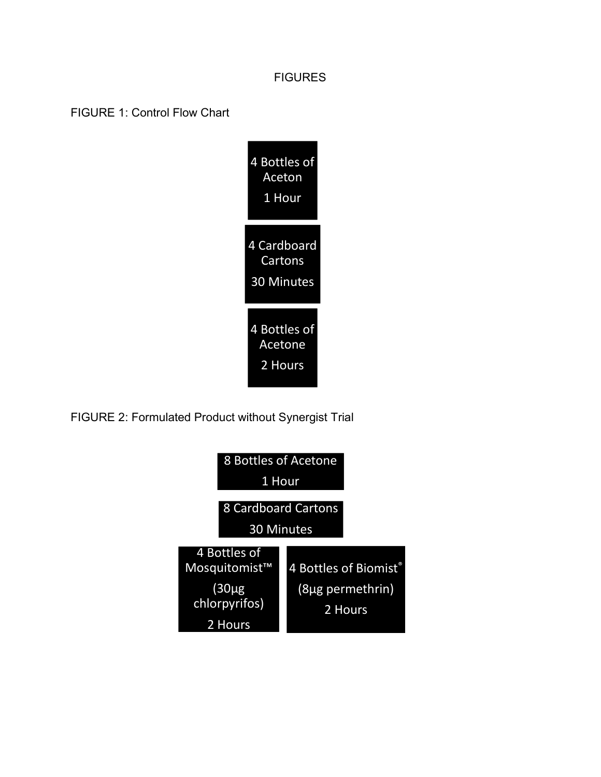### **FIGURES**

FIGURE 1: Control Flow Chart



FIGURE 2: Formulated Product without Synergist Trial

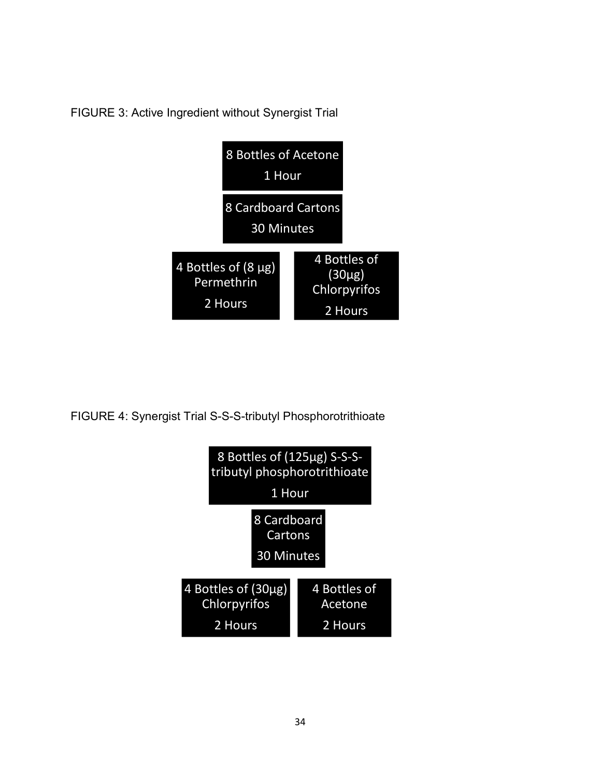FIGURE 3: Active Ingredient without Synergist Trial



FIGURE 4: Synergist Trial S-S-S-tributyl Phosphorotrithioate

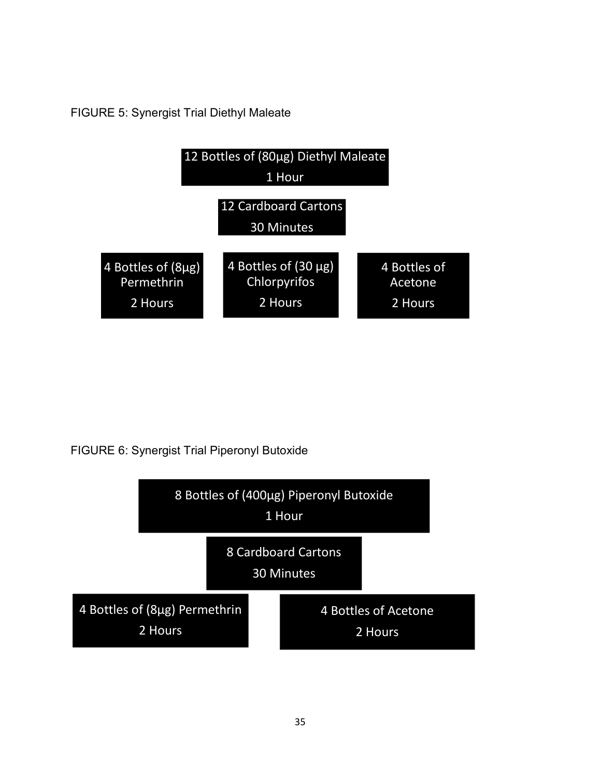FIGURE 5: Synergist Trial Diethyl Maleate



FIGURE 6: Synergist Trial Piperonyl Butoxide

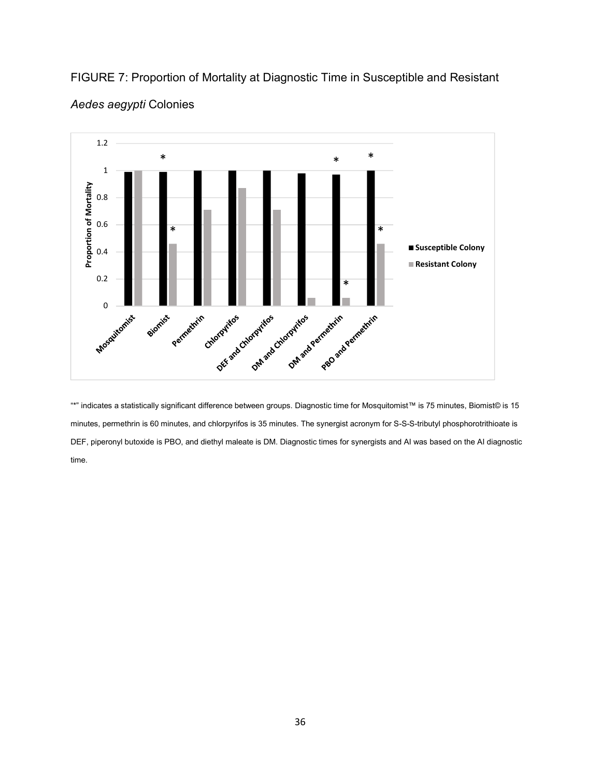

FIGURE 7: Proportion of Mortality at Diagnostic Time in Susceptible and Resistant Aedes aegypti Colonies

"\*" indicates a statistically significant difference between groups. Diagnostic time for Mosquitomist™ is 75 minutes, Biomist© is 15 minutes, permethrin is 60 minutes, and chlorpyrifos is 35 minutes. The synergist acronym for S-S-S-tributyl phosphorotrithioate is DEF, piperonyl butoxide is PBO, and diethyl maleate is DM. Diagnostic times for synergists and AI was based on the AI diagnostic time.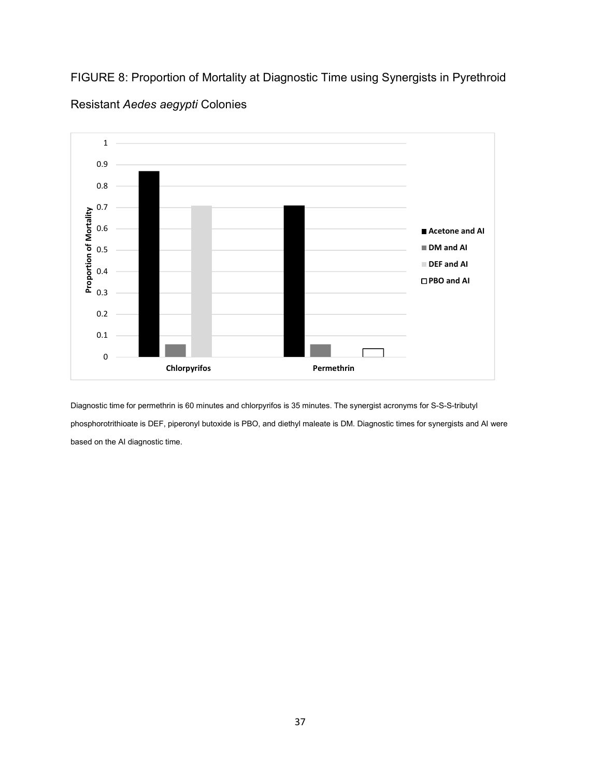FIGURE 8: Proportion of Mortality at Diagnostic Time using Synergists in Pyrethroid



Resistant Aedes aegypti Colonies

Diagnostic time for permethrin is 60 minutes and chlorpyrifos is 35 minutes. The synergist acronyms for S-S-S-tributyl phosphorotrithioate is DEF, piperonyl butoxide is PBO, and diethyl maleate is DM. Diagnostic times for synergists and AI were based on the AI diagnostic time.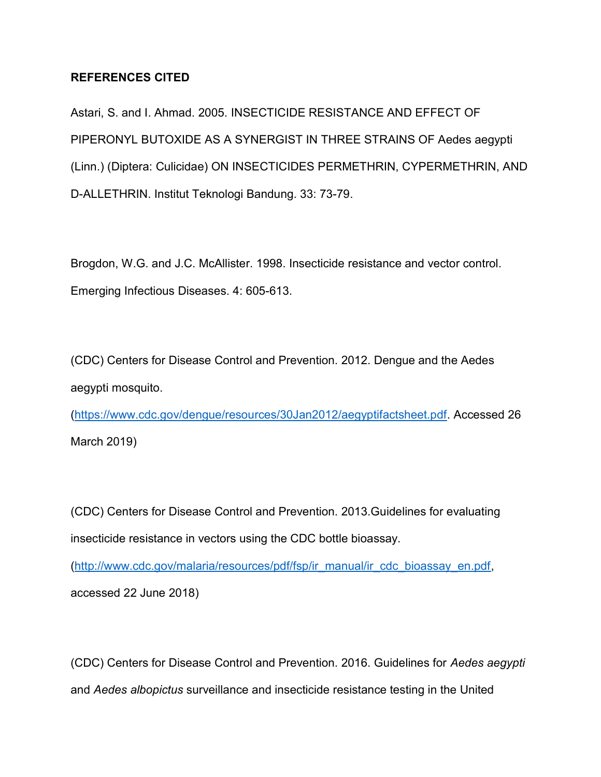### REFERENCES CITED

Astari, S. and I. Ahmad. 2005. INSECTICIDE RESISTANCE AND EFFECT OF PIPERONYL BUTOXIDE AS A SYNERGIST IN THREE STRAINS OF Aedes aegypti (Linn.) (Diptera: Culicidae) ON INSECTICIDES PERMETHRIN, CYPERMETHRIN, AND D-ALLETHRIN. Institut Teknologi Bandung. 33: 73-79.

Brogdon, W.G. and J.C. McAllister. 1998. Insecticide resistance and vector control. Emerging Infectious Diseases. 4: 605-613.

(CDC) Centers for Disease Control and Prevention. 2012. Dengue and the Aedes aegypti mosquito.

(https://www.cdc.gov/dengue/resources/30Jan2012/aegyptifactsheet.pdf. Accessed 26 March 2019)

(CDC) Centers for Disease Control and Prevention. 2013.Guidelines for evaluating insecticide resistance in vectors using the CDC bottle bioassay.

(http://www.cdc.gov/malaria/resources/pdf/fsp/ir\_manual/ir\_cdc\_bioassay\_en.pdf, accessed 22 June 2018)

(CDC) Centers for Disease Control and Prevention. 2016. Guidelines for Aedes aegypti and Aedes albopictus surveillance and insecticide resistance testing in the United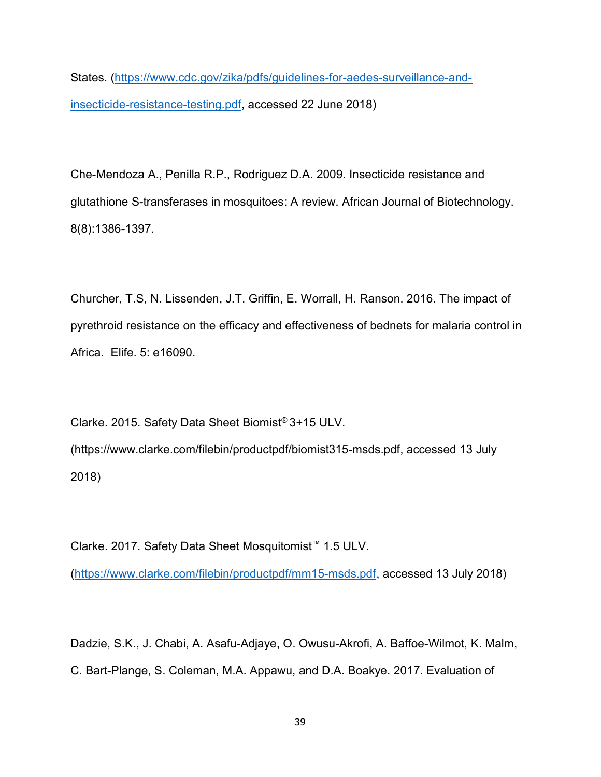States. (https://www.cdc.gov/zika/pdfs/guidelines-for-aedes-surveillance-andinsecticide-resistance-testing.pdf, accessed 22 June 2018)

Che-Mendoza A., Penilla R.P., Rodriguez D.A. 2009. Insecticide resistance and glutathione S-transferases in mosquitoes: A review. African Journal of Biotechnology. 8(8):1386-1397.

Churcher, T.S, N. Lissenden, J.T. Griffin, E. Worrall, H. Ranson. 2016. The impact of pyrethroid resistance on the efficacy and effectiveness of bednets for malaria control in Africa. Elife. 5: e16090.

Clarke. 2015. Safety Data Sheet Biomist® 3+15 ULV. (https://www.clarke.com/filebin/productpdf/biomist315-msds.pdf, accessed 13 July 2018)

Clarke. 2017. Safety Data Sheet Mosquitomist™ 1.5 ULV. (https://www.clarke.com/filebin/productpdf/mm15-msds.pdf, accessed 13 July 2018)

Dadzie, S.K., J. Chabi, A. Asafu-Adjaye, O. Owusu-Akrofi, A. Baffoe-Wilmot, K. Malm, C. Bart-Plange, S. Coleman, M.A. Appawu, and D.A. Boakye. 2017. Evaluation of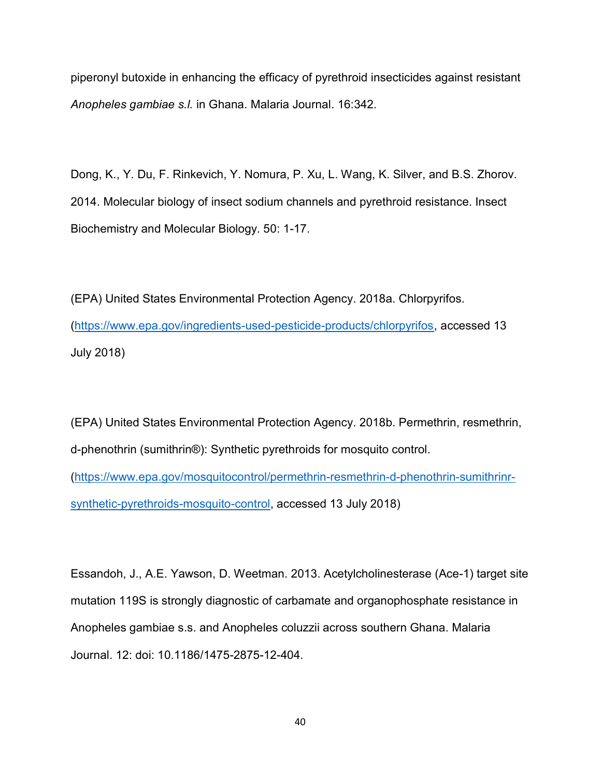piperonyl butoxide in enhancing the efficacy of pyrethroid insecticides against resistant Anopheles gambiae s.l. in Ghana. Malaria Journal. 16:342.

Dong, K., Y. Du, F. Rinkevich, Y. Nomura, P. Xu, L. Wang, K. Silver, and B.S. Zhorov. 2014. Molecular biology of insect sodium channels and pyrethroid resistance. Insect Biochemistry and Molecular Biology. 50: 1-17.

(EPA) United States Environmental Protection Agency. 2018a. Chlorpyrifos. (https://www.epa.gov/ingredients-used-pesticide-products/chlorpyrifos, accessed 13 July 2018)

(EPA) United States Environmental Protection Agency. 2018b. Permethrin, resmethrin, d-phenothrin (sumithrin®): Synthetic pyrethroids for mosquito control. (https://www.epa.gov/mosquitocontrol/permethrin-resmethrin-d-phenothrin-sumithrinrsynthetic-pyrethroids-mosquito-control, accessed 13 July 2018)

Essandoh, J., A.E. Yawson, D. Weetman. 2013. Acetylcholinesterase (Ace-1) target site mutation 119S is strongly diagnostic of carbamate and organophosphate resistance in Anopheles gambiae s.s. and Anopheles coluzzii across southern Ghana. Malaria Journal. 12: doi: 10.1186/1475-2875-12-404.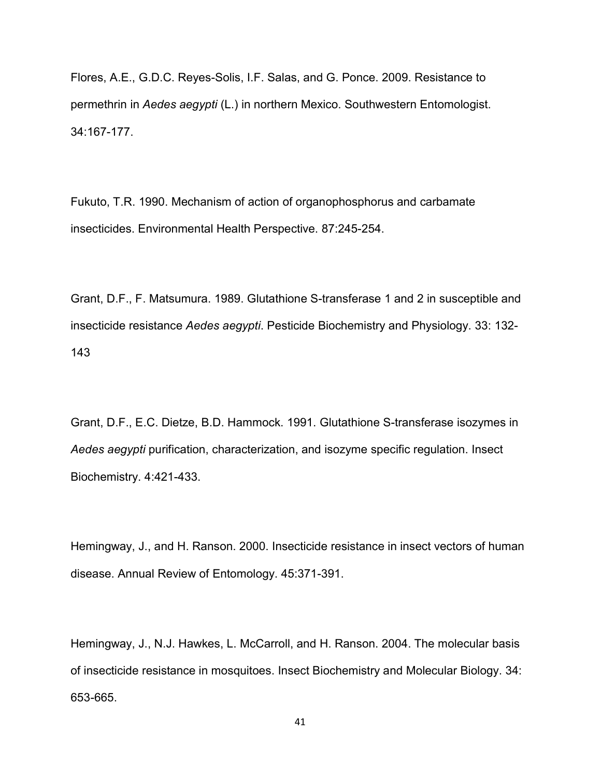Flores, A.E., G.D.C. Reyes-Solis, I.F. Salas, and G. Ponce. 2009. Resistance to permethrin in Aedes aegypti (L.) in northern Mexico. Southwestern Entomologist. 34:167-177.

Fukuto, T.R. 1990. Mechanism of action of organophosphorus and carbamate insecticides. Environmental Health Perspective. 87:245-254.

Grant, D.F., F. Matsumura. 1989. Glutathione S-transferase 1 and 2 in susceptible and insecticide resistance Aedes aegypti. Pesticide Biochemistry and Physiology. 33: 132- 143

Grant, D.F., E.C. Dietze, B.D. Hammock. 1991. Glutathione S-transferase isozymes in Aedes aegypti purification, characterization, and isozyme specific regulation. Insect Biochemistry. 4:421-433.

Hemingway, J., and H. Ranson. 2000. Insecticide resistance in insect vectors of human disease. Annual Review of Entomology. 45:371-391.

Hemingway, J., N.J. Hawkes, L. McCarroll, and H. Ranson. 2004. The molecular basis of insecticide resistance in mosquitoes. Insect Biochemistry and Molecular Biology. 34: 653-665.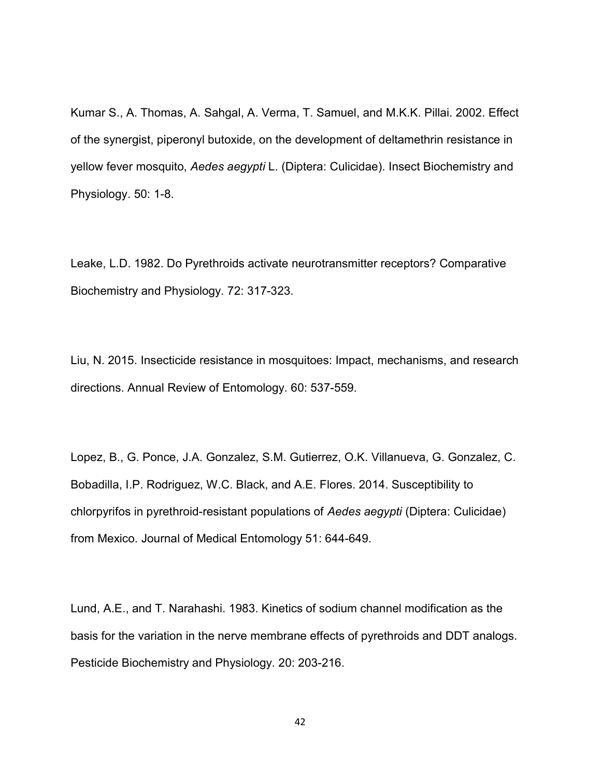Kumar S., A. Thomas, A. Sahgal, A. Verma, T. Samuel, and M.K.K. Pillai. 2002. Effect of the synergist, piperonyl butoxide, on the development of deltamethrin resistance in yellow fever mosquito, Aedes aegypti L. (Diptera: Culicidae). Insect Biochemistry and Physiology. 50: 1-8.

Leake, L.D. 1982. Do Pyrethroids activate neurotransmitter receptors? Comparative Biochemistry and Physiology. 72: 317-323.

Liu, N. 2015. Insecticide resistance in mosquitoes: Impact, mechanisms, and research directions. Annual Review of Entomology. 60: 537-559.

Lopez, B., G. Ponce, J.A. Gonzalez, S.M. Gutierrez, O.K. Villanueva, G. Gonzalez, C. Bobadilla, I.P. Rodriguez, W.C. Black, and A.E. Flores. 2014. Susceptibility to chlorpyrifos in pyrethroid-resistant populations of Aedes aegypti (Diptera: Culicidae) from Mexico. Journal of Medical Entomology 51: 644-649.

Lund, A.E., and T. Narahashi. 1983. Kinetics of sodium channel modification as the basis for the variation in the nerve membrane effects of pyrethroids and DDT analogs. Pesticide Biochemistry and Physiology. 20: 203-216.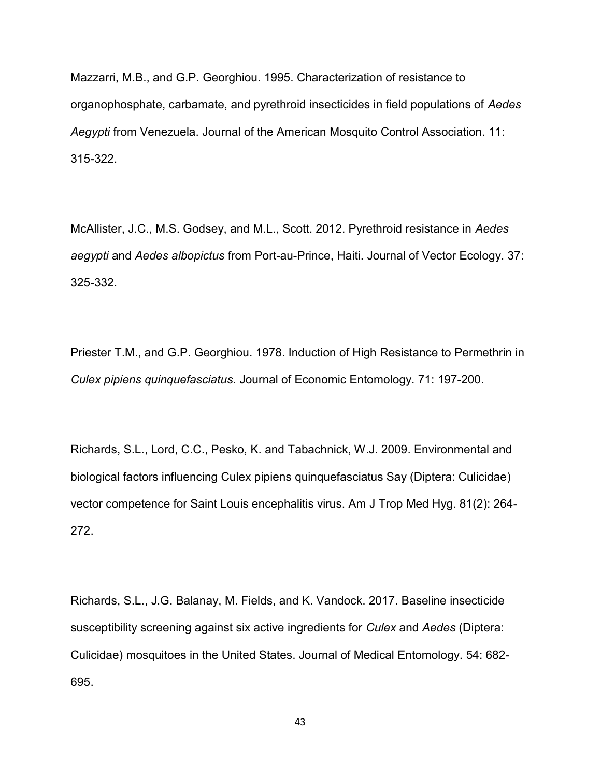Mazzarri, M.B., and G.P. Georghiou. 1995. Characterization of resistance to organophosphate, carbamate, and pyrethroid insecticides in field populations of Aedes Aegypti from Venezuela. Journal of the American Mosquito Control Association. 11: 315-322.

McAllister, J.C., M.S. Godsey, and M.L., Scott. 2012. Pyrethroid resistance in Aedes aegypti and Aedes albopictus from Port-au-Prince, Haiti. Journal of Vector Ecology. 37: 325-332.

Priester T.M., and G.P. Georghiou. 1978. Induction of High Resistance to Permethrin in Culex pipiens quinquefasciatus. Journal of Economic Entomology. 71: 197-200.

Richards, S.L., Lord, C.C., Pesko, K. and Tabachnick, W.J. 2009. Environmental and biological factors influencing Culex pipiens quinquefasciatus Say (Diptera: Culicidae) vector competence for Saint Louis encephalitis virus. Am J Trop Med Hyg. 81(2): 264- 272.

Richards, S.L., J.G. Balanay, M. Fields, and K. Vandock. 2017. Baseline insecticide susceptibility screening against six active ingredients for Culex and Aedes (Diptera: Culicidae) mosquitoes in the United States. Journal of Medical Entomology. 54: 682- 695.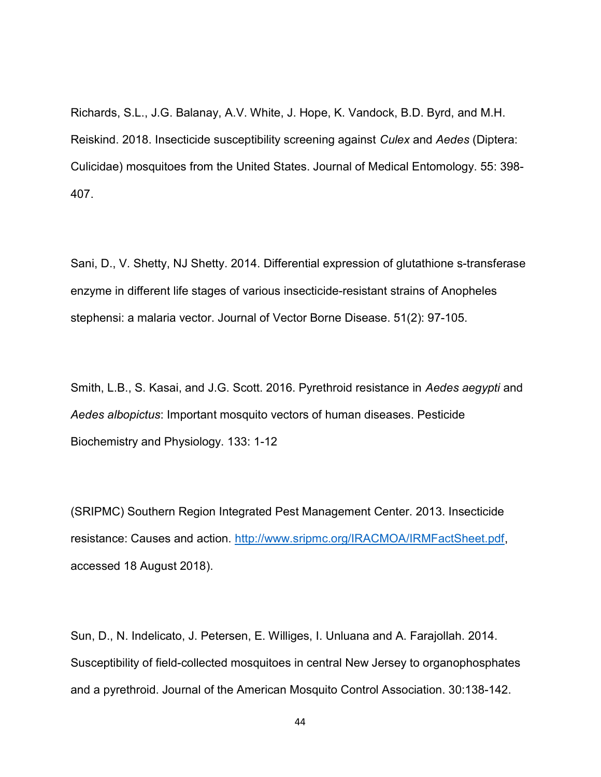Richards, S.L., J.G. Balanay, A.V. White, J. Hope, K. Vandock, B.D. Byrd, and M.H. Reiskind. 2018. Insecticide susceptibility screening against Culex and Aedes (Diptera: Culicidae) mosquitoes from the United States. Journal of Medical Entomology. 55: 398- 407.

Sani, D., V. Shetty, NJ Shetty. 2014. Differential expression of glutathione s-transferase enzyme in different life stages of various insecticide-resistant strains of Anopheles stephensi: a malaria vector. Journal of Vector Borne Disease. 51(2): 97-105.

Smith, L.B., S. Kasai, and J.G. Scott. 2016. Pyrethroid resistance in Aedes aegypti and Aedes albopictus: Important mosquito vectors of human diseases. Pesticide Biochemistry and Physiology. 133: 1-12

(SRIPMC) Southern Region Integrated Pest Management Center. 2013. Insecticide resistance: Causes and action. http://www.sripmc.org/IRACMOA/IRMFactSheet.pdf, accessed 18 August 2018).

Sun, D., N. Indelicato, J. Petersen, E. Williges, I. Unluana and A. Farajollah. 2014. Susceptibility of field-collected mosquitoes in central New Jersey to organophosphates and a pyrethroid. Journal of the American Mosquito Control Association. 30:138-142.